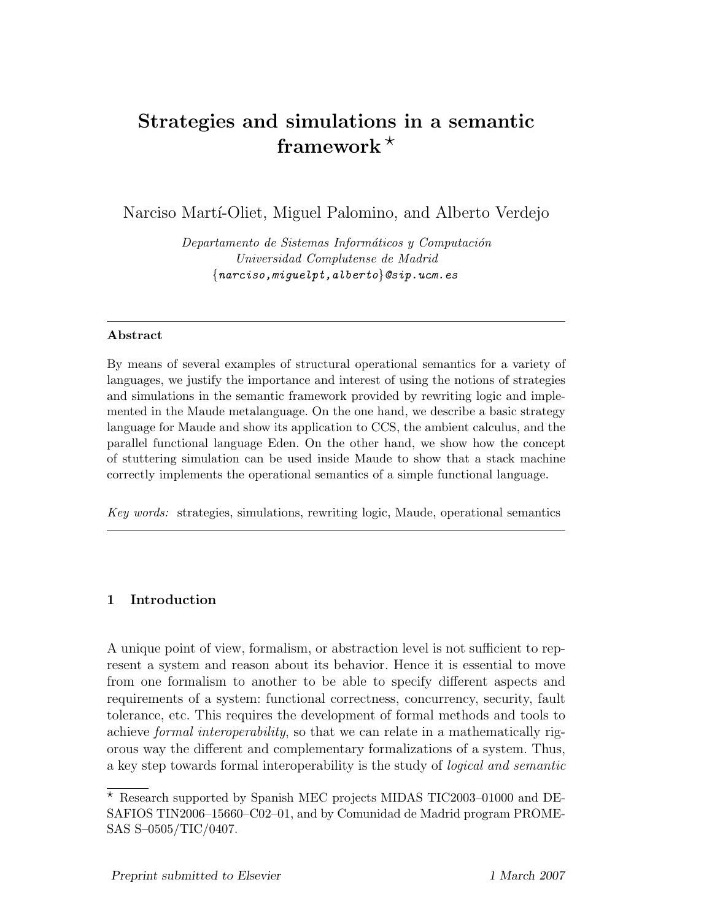# Strategies and simulations in a semantic framework  $*$

Narciso Martí-Oliet, Miguel Palomino, and Alberto Verdejo

Departamento de Sistemas Informáticos y Computación Universidad Complutense de Madrid {narciso,miguelpt,alberto}@sip.ucm.es

# Abstract

By means of several examples of structural operational semantics for a variety of languages, we justify the importance and interest of using the notions of strategies and simulations in the semantic framework provided by rewriting logic and implemented in the Maude metalanguage. On the one hand, we describe a basic strategy language for Maude and show its application to CCS, the ambient calculus, and the parallel functional language Eden. On the other hand, we show how the concept of stuttering simulation can be used inside Maude to show that a stack machine correctly implements the operational semantics of a simple functional language.

Key words: strategies, simulations, rewriting logic, Maude, operational semantics

# 1 Introduction

A unique point of view, formalism, or abstraction level is not sufficient to represent a system and reason about its behavior. Hence it is essential to move from one formalism to another to be able to specify different aspects and requirements of a system: functional correctness, concurrency, security, fault tolerance, etc. This requires the development of formal methods and tools to achieve formal interoperability, so that we can relate in a mathematically rigorous way the different and complementary formalizations of a system. Thus, a key step towards formal interoperability is the study of logical and semantic

 $^\star$  Research supported by Spanish MEC projects MIDAS TIC2003–01000 and DE-SAFIOS TIN2006–15660–C02–01, and by Comunidad de Madrid program PROME-SAS S–0505/TIC/0407.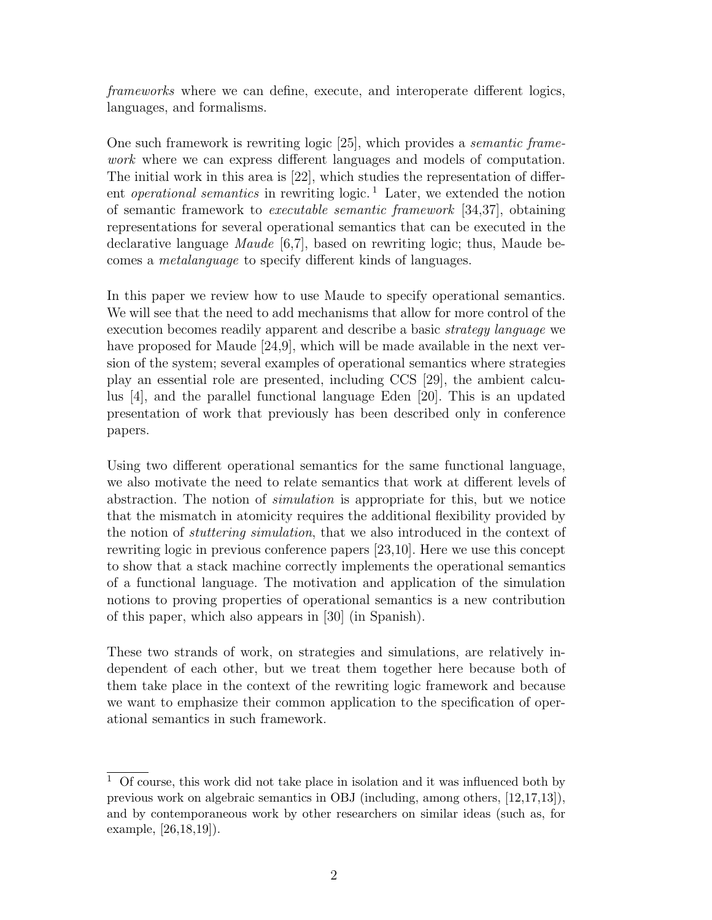frameworks where we can define, execute, and interoperate different logics, languages, and formalisms.

One such framework is rewriting logic [25], which provides a semantic framework where we can express different languages and models of computation. The initial work in this area is [22], which studies the representation of different *operational semantics* in rewriting  $logic$ .<sup>1</sup> Later, we extended the notion of semantic framework to executable semantic framework [34,37], obtaining representations for several operational semantics that can be executed in the declarative language *Maude* [6,7], based on rewriting logic; thus, Maude becomes a metalanguage to specify different kinds of languages.

In this paper we review how to use Maude to specify operational semantics. We will see that the need to add mechanisms that allow for more control of the execution becomes readily apparent and describe a basic strategy language we have proposed for Maude [24,9], which will be made available in the next version of the system; several examples of operational semantics where strategies play an essential role are presented, including CCS [29], the ambient calculus [4], and the parallel functional language Eden [20]. This is an updated presentation of work that previously has been described only in conference papers.

Using two different operational semantics for the same functional language, we also motivate the need to relate semantics that work at different levels of abstraction. The notion of simulation is appropriate for this, but we notice that the mismatch in atomicity requires the additional flexibility provided by the notion of stuttering simulation, that we also introduced in the context of rewriting logic in previous conference papers [23,10]. Here we use this concept to show that a stack machine correctly implements the operational semantics of a functional language. The motivation and application of the simulation notions to proving properties of operational semantics is a new contribution of this paper, which also appears in [30] (in Spanish).

These two strands of work, on strategies and simulations, are relatively independent of each other, but we treat them together here because both of them take place in the context of the rewriting logic framework and because we want to emphasize their common application to the specification of operational semantics in such framework.

 $1$  Of course, this work did not take place in isolation and it was influenced both by previous work on algebraic semantics in OBJ (including, among others, [12,17,13]), and by contemporaneous work by other researchers on similar ideas (such as, for example, [26,18,19]).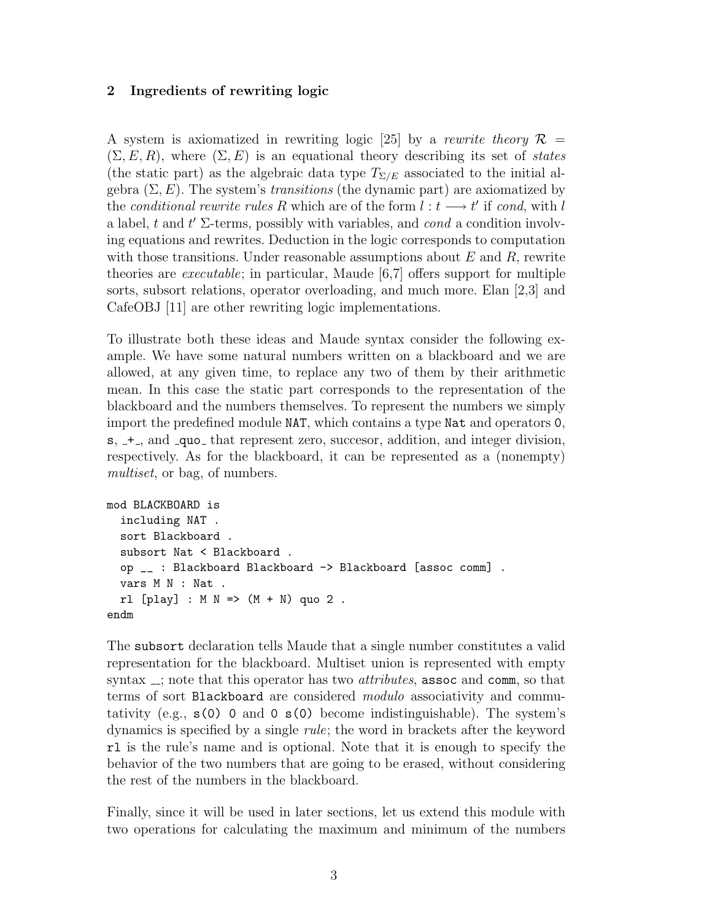# 2 Ingredients of rewriting logic

A system is axiomatized in rewriting logic [25] by a rewrite theory  $\mathcal{R} =$  $(\Sigma, E, R)$ , where  $(\Sigma, E)$  is an equational theory describing its set of states (the static part) as the algebraic data type  $T_{\Sigma/E}$  associated to the initial algebra  $(\Sigma, E)$ . The system's *transitions* (the dynamic part) are axiomatized by the conditional rewrite rules R which are of the form  $l : t \longrightarrow t'$  if cond, with l a label, t and  $t'$   $\Sigma$ -terms, possibly with variables, and cond a condition involving equations and rewrites. Deduction in the logic corresponds to computation with those transitions. Under reasonable assumptions about  $E$  and  $R$ , rewrite theories are executable; in particular, Maude [6,7] offers support for multiple sorts, subsort relations, operator overloading, and much more. Elan [2,3] and CafeOBJ [11] are other rewriting logic implementations.

To illustrate both these ideas and Maude syntax consider the following example. We have some natural numbers written on a blackboard and we are allowed, at any given time, to replace any two of them by their arithmetic mean. In this case the static part corresponds to the representation of the blackboard and the numbers themselves. To represent the numbers we simply import the predefined module NAT, which contains a type Nat and operators 0,  $s, -+$ , and  $\text{-que}_-$  that represent zero, succesor, addition, and integer division, respectively. As for the blackboard, it can be represented as a (nonempty) multiset, or bag, of numbers.

```
mod BLACKBOARD is
  including NAT .
  sort Blackboard .
  subsort Nat < Blackboard .
 op __ : Blackboard Blackboard -> Blackboard [assoc comm] .
  vars M N : Nat .
 rl [play] : M N \implies (M + N) quo 2.
endm
```
The subsort declaration tells Maude that a single number constitutes a valid representation for the blackboard. Multiset union is represented with empty syntax  $\overline{z}$ ; note that this operator has two *attributes*, assoc and comm, so that terms of sort Blackboard are considered *modulo* associativity and commutativity (e.g.,  $s(0)$  0 and 0  $s(0)$  become indistinguishable). The system's dynamics is specified by a single rule; the word in brackets after the keyword rl is the rule's name and is optional. Note that it is enough to specify the behavior of the two numbers that are going to be erased, without considering the rest of the numbers in the blackboard.

Finally, since it will be used in later sections, let us extend this module with two operations for calculating the maximum and minimum of the numbers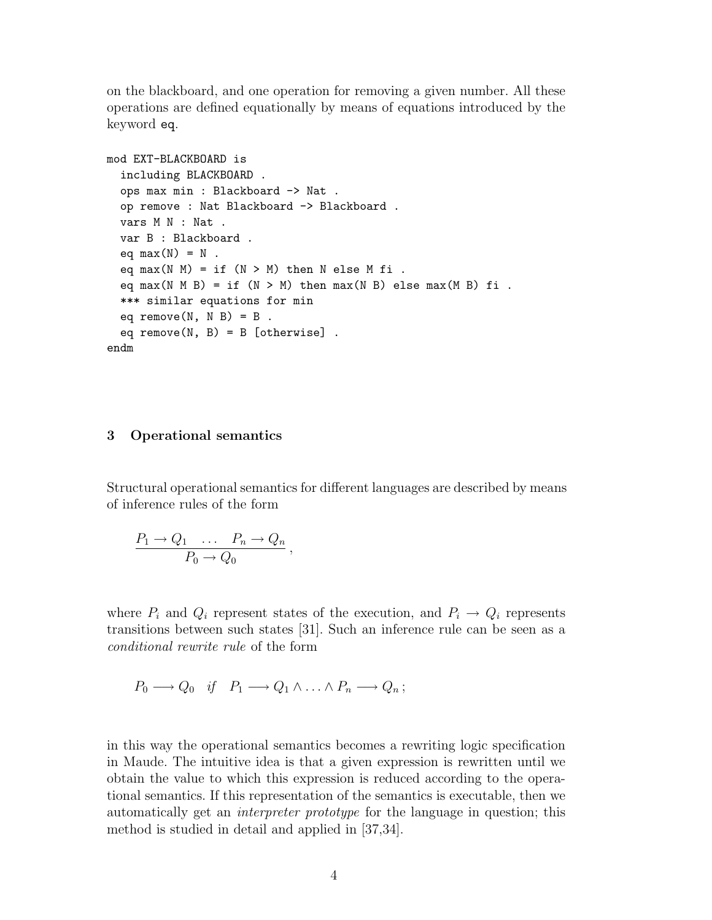on the blackboard, and one operation for removing a given number. All these operations are defined equationally by means of equations introduced by the keyword eq.

```
mod EXT-BLACKBOARD is
  including BLACKBOARD .
 ops max min : Blackboard -> Nat .
 op remove : Nat Blackboard -> Blackboard .
  vars M N : Nat .
  var B : Blackboard .
  eq max(N) = N.
  eq max(N M) = if (N > M) then N else M fi.
  eq max(N M B) = if (N > M) then max(N B) else max(M B) fi.
  *** similar equations for min
  eq remove(N, N B) = B.
  eq remove(N, B) = B [otherwise].
endm
```
### 3 Operational semantics

Structural operational semantics for different languages are described by means of inference rules of the form

$$
\frac{P_1 \to Q_1 \quad \dots \quad P_n \to Q_n}{P_0 \to Q_0} \,,
$$

where  $P_i$  and  $Q_i$  represent states of the execution, and  $P_i \rightarrow Q_i$  represents transitions between such states [31]. Such an inference rule can be seen as a conditional rewrite rule of the form

$$
P_0 \longrightarrow Q_0 \quad \text{if} \quad P_1 \longrightarrow Q_1 \wedge \ldots \wedge P_n \longrightarrow Q_n \, ;
$$

in this way the operational semantics becomes a rewriting logic specification in Maude. The intuitive idea is that a given expression is rewritten until we obtain the value to which this expression is reduced according to the operational semantics. If this representation of the semantics is executable, then we automatically get an interpreter prototype for the language in question; this method is studied in detail and applied in [37,34].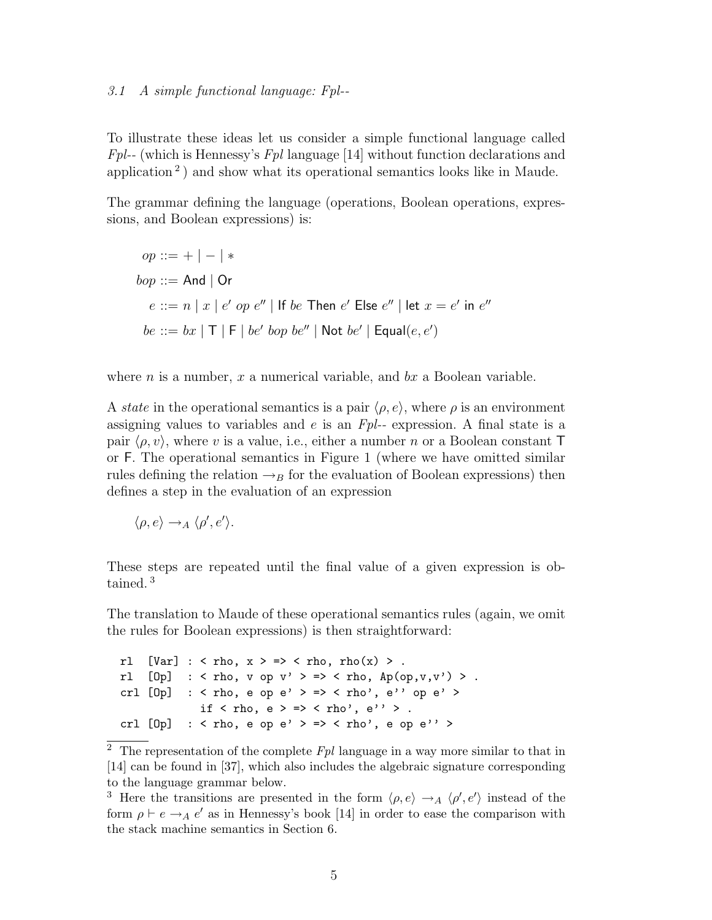### 3.1 A simple functional language: Fpl--

To illustrate these ideas let us consider a simple functional language called Fpl-- (which is Hennessy's Fpl language [14] without function declarations and application<sup>2</sup>) and show what its operational semantics looks like in Maude.

The grammar defining the language (operations, Boolean operations, expressions, and Boolean expressions) is:

$$
op ::= + | - | *
$$
  
\n
$$
bop ::= And | Or
$$
  
\n
$$
e ::= n | x | e' op e'' | If be Then e' Else e'' | let x = e' in e''
$$
  
\n
$$
be ::= bx | T | F | be' loop be'' | Not be' | Equal(e, e')
$$

where *n* is a number,  $x$  a numerical variable, and  $bx$  a Boolean variable.

A state in the operational semantics is a pair  $\langle \rho, e \rangle$ , where  $\rho$  is an environment assigning values to variables and e is an  $Fpl$ -- expression. A final state is a pair  $\langle \rho, v \rangle$ , where v is a value, i.e., either a number n or a Boolean constant T or F. The operational semantics in Figure 1 (where we have omitted similar rules defining the relation  $\rightarrow_B$  for the evaluation of Boolean expressions) then defines a step in the evaluation of an expression

$$
\langle \rho, e \rangle \rightarrow_A \langle \rho', e' \rangle.
$$

These steps are repeated until the final value of a given expression is obtained. <sup>3</sup>

The translation to Maude of these operational semantics rules (again, we omit the rules for Boolean expressions) is then straightforward:

```
rl [Var] : < rho, x > \Rightarrow < rho, rho(x) >.
rl [0p] : < rho, v op v' > => < rho, Ap(op,v,v') > .
crl [0p] : < rho, e op e' > => < rho', e'' op e' >
             if \langle rho, e \rangle = \rangle \langle rho', e'' \rangle.
crl [0p] : < rho, e op e' > => < rho', e op e'' >
```
<sup>&</sup>lt;sup>2</sup> The representation of the complete  $Fpl$  language in a way more similar to that in [14] can be found in [37], which also includes the algebraic signature corresponding to the language grammar below.

<sup>&</sup>lt;sup>3</sup> Here the transitions are presented in the form  $\langle \rho, e \rangle \rightarrow_A \langle \rho', e' \rangle$  instead of the form  $\rho \vdash e \rightarrow_A e'$  as in Hennessy's book [14] in order to ease the comparison with the stack machine semantics in Section 6.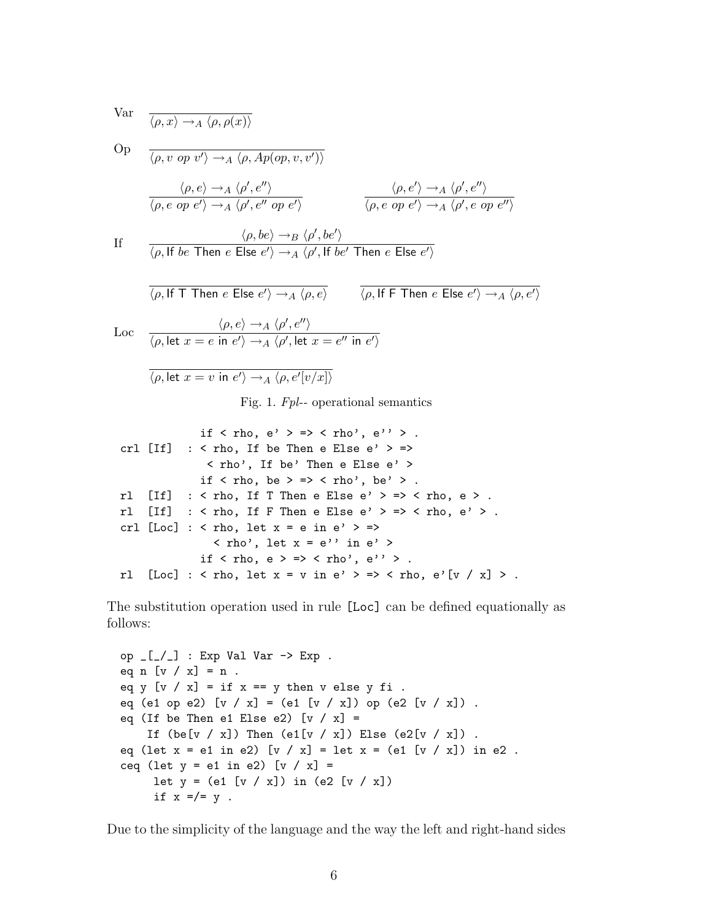$$
\text{Var} \quad \frac{}{\langle \rho, x \rangle \to_A \langle \rho, \rho(x) \rangle}
$$

Op

\n
$$
\frac{\langle \rho, v \text{ op } v' \rangle \rightarrow_A \langle \rho, Ap(op, v, v') \rangle}{\langle \rho, e \text{ op } e' \rangle \rightarrow_A \langle \rho', e'' \text{ op } e' \rangle}
$$
\nIf

\n
$$
\frac{\langle \rho, e \rangle \rightarrow_A \langle \rho', e'' \rangle}{\langle \rho, e \text{ op } e' \rangle \rightarrow_A \langle \rho', e'' \text{ op } e' \rangle}
$$
\nIf

\n
$$
\frac{\langle \rho, be \rangle \rightarrow_B \langle \rho', be' \rangle}{\langle \rho, \text{ If } be \text{ Then } e \text{ Else } e' \rangle \rightarrow_A \langle \rho', \text{ If } be' \text{ Then } e \text{ Else } e' \rangle}
$$
\n
$$
\frac{\langle \rho, be \rangle \rightarrow_B \langle \rho', be' \rangle}{\langle \rho, \text{ If } \text{Then } e \text{ Else } e' \rangle \rightarrow_A \langle \rho, e \rangle}
$$
\n
$$
\frac{\langle \rho, \text{ If } \text{Then } e \text{ Else } e' \rangle}{\langle \rho, \text{ If } \text{Then } e \text{ Else } e' \rangle \rightarrow_A \langle \rho, e' \rangle}
$$

$$
\text{Loc} \quad \frac{\langle \rho, e \rangle \to_A \langle \rho', e'' \rangle}{\langle \rho, \text{let } x = e \text{ in } e' \rangle \to_A \langle \rho', \text{let } x = e'' \text{ in } e' \rangle}
$$

$$
\langle \rho, \text{let } x = v \text{ in } e' \rangle \rightarrow_A \langle \rho, e'[v/x] \rangle
$$

Fig. 1. Fpl-- operational semantics

```
if \langle rho, e' \rangle => \langle rho', e'' \rangle.
crl [If] : < rho, If be Then e Else e' > =>
                < rho', If be' Then e Else e' >
              if \langle rho, be \rangle = \rangle \langle rho', be' \rangle.
rl [If] : < rho, If T Then e Else e' > => < rho, e > .
rl [If] : < rho, If F Then e Else e' > => < rho, e' > .
crl [Loc] : < rho, let x = e in e' > \Rightarrow\langle rho', let x = e'' in e' >
              if \langle rho, e \rangle = \rangle \langle rho', e'' \rangle.
rl [Loc] : <rho, let x = v in e' > =&gt; <rho, e'[v / x] > .
```
The substitution operation used in rule [Loc] can be defined equationally as follows:

```
op \lfloor \lfloor -1 \rfloor : Exp Val Var \rightarrow Exp .
eq n [v / x] = n.
eq y [v / x] = if x == y then v else y fi.
eq (e1 op e2) [v / x] = (e1 [v / x]) op (e2 [v / x]).
eq (If be Then e1 Else e2) [v / x] =If (\text{be}[v / x]) Then (\text{e1}[v / x]) Else (\text{e2}[v / x]).
eq (let x = e1 in e2) [v / x] = let x = (e1 [v / x]) in e2.
ceq (let y = e1 in e2) [v / x] =let y = (e1 [v / x]) in (e2 [v / x])if x =/- y.
```
Due to the simplicity of the language and the way the left and right-hand sides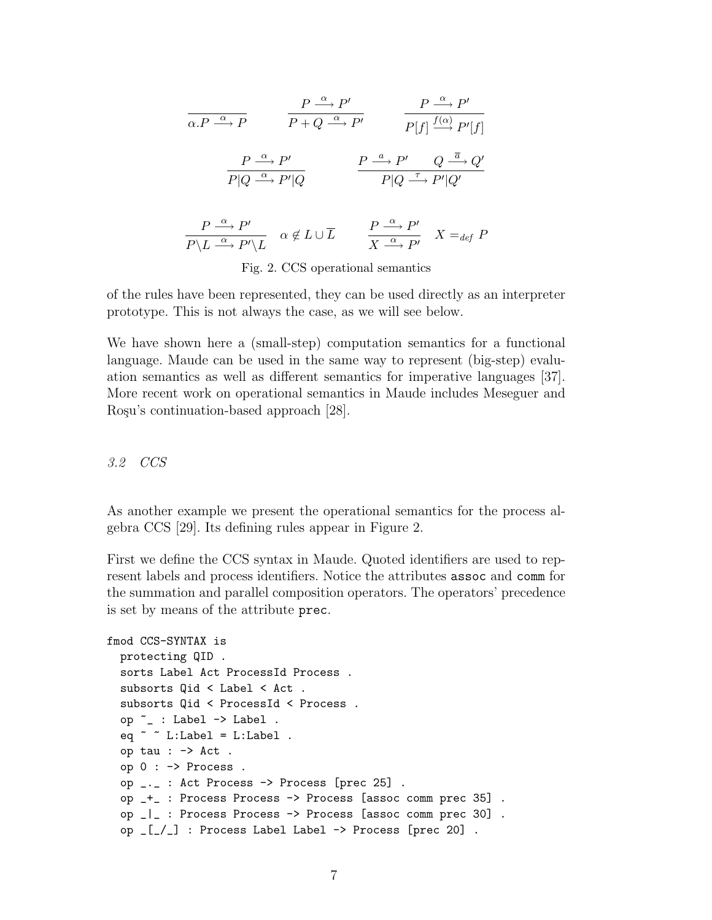$$
\frac{P \xrightarrow{\alpha} P'}{a.P \xrightarrow{\alpha} P} \qquad \frac{P \xrightarrow{\alpha} P'}{P + Q \xrightarrow{\alpha} P'} \qquad \frac{P \xrightarrow{\alpha} P'}{P[f] \xrightarrow{f(\alpha)} P'[f]}
$$
\n
$$
\frac{P \xrightarrow{\alpha} P'}{P | Q \xrightarrow{\alpha} P' | Q} \qquad \frac{P \xrightarrow{\alpha} P'}{P | Q \xrightarrow{\tau} P' | Q'}
$$
\n
$$
\frac{P \xrightarrow{\alpha} P'}{P \setminus L} \qquad \alpha \notin L \cup \overline{L} \qquad \frac{P \xrightarrow{\alpha} P'}{X \xrightarrow{\alpha} P'} \qquad X =_{def} P
$$

Fig. 2. CCS operational semantics

of the rules have been represented, they can be used directly as an interpreter prototype. This is not always the case, as we will see below.

We have shown here a (small-step) computation semantics for a functional language. Maude can be used in the same way to represent (big-step) evaluation semantics as well as different semantics for imperative languages [37]. More recent work on operational semantics in Maude includes Meseguer and Rosu's continuation-based approach [28].

# 3.2 CCS

As another example we present the operational semantics for the process algebra CCS [29]. Its defining rules appear in Figure 2.

First we define the CCS syntax in Maude. Quoted identifiers are used to represent labels and process identifiers. Notice the attributes assoc and comm for the summation and parallel composition operators. The operators' precedence is set by means of the attribute prec.

```
fmod CCS-SYNTAX is
  protecting QID .
  sorts Label Act ProcessId Process .
  subsorts Qid < Label < Act .
  subsorts Qid < ProcessId < Process.
  op ~_ : Label -> Label .
  eq \degree \degree L:Label = L:Label .
  op tau : -> Act .
  op 0 : -> Process .
  op _._ : Act Process -> Process [prec 25] .
  op _+_ : Process Process -> Process [assoc comm prec 35] .
  op _|_ : Process Process -> Process [assoc comm prec 30] .
  op _[_/_] : Process Label Label -> Process [prec 20] .
```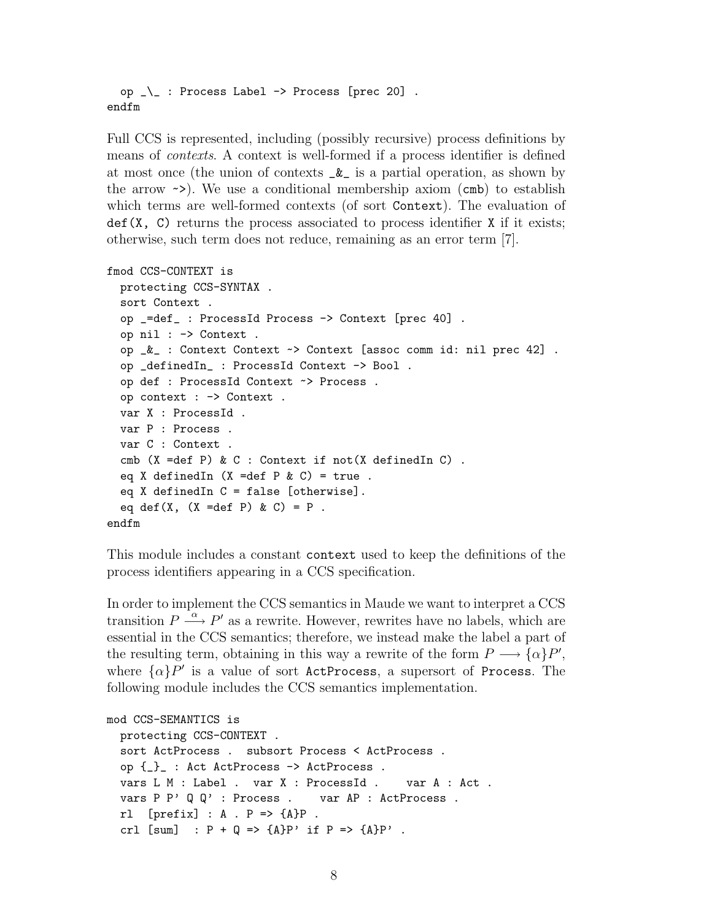```
op \lambda : Process Label -> Process [prec 20].
endfm
```
Full CCS is represented, including (possibly recursive) process definitions by means of contexts. A context is well-formed if a process identifier is defined at most once (the union of contexts  $\&$  is a partial operation, as shown by the arrow  $\sim$ ). We use a conditional membership axiom (cmb) to establish which terms are well-formed contexts (of sort Context). The evaluation of  $def(X, C)$  returns the process associated to process identifier X if it exists; otherwise, such term does not reduce, remaining as an error term [7].

```
fmod CCS-CONTEXT is
 protecting CCS-SYNTAX .
  sort Context .
  op _=def_ : ProcessId Process -> Context [prec 40] .
  op nil : -> Context .
  op _&_ : Context Context ~> Context [assoc comm id: nil prec 42] .
  op _definedIn_ : ProcessId Context -> Bool .
  op def : ProcessId Context ~> Process .
  op context : -> Context .
  var X : ProcessId .
  var P : Process .
  var C : Context .
  cmb (X =def P) & C : Context if not(X definedIn C) .
  eq X definedIn (X = def P & C) = true.
  eq X definedIn C = false [otherwise].
  eq def(X, (X = def P) & C) = P.
endfm
```
This module includes a constant context used to keep the definitions of the process identifiers appearing in a CCS specification.

In order to implement the CCS semantics in Maude we want to interpret a CCS transition  $P \stackrel{\alpha}{\longrightarrow} P'$  as a rewrite. However, rewrites have no labels, which are essential in the CCS semantics; therefore, we instead make the label a part of the resulting term, obtaining in this way a rewrite of the form  $P \longrightarrow {\alpha} P'$ , where  $\{\alpha\}P'$  is a value of sort ActProcess, a supersort of Process. The following module includes the CCS semantics implementation.

```
mod CCS-SEMANTICS is
 protecting CCS-CONTEXT .
  sort ActProcess . subsort Process < ActProcess .
  op {_}_ : Act ActProcess -> ActProcess .
  vars L M : Label . var X : ProcessId . var A : Act .
  vars P P' Q Q' : Process . var AP : ActProcess .
 rl [prefix] : A . P => {A}P.
  crl [sum] : P + Q = > {A}P' if P = > {A}P'.
```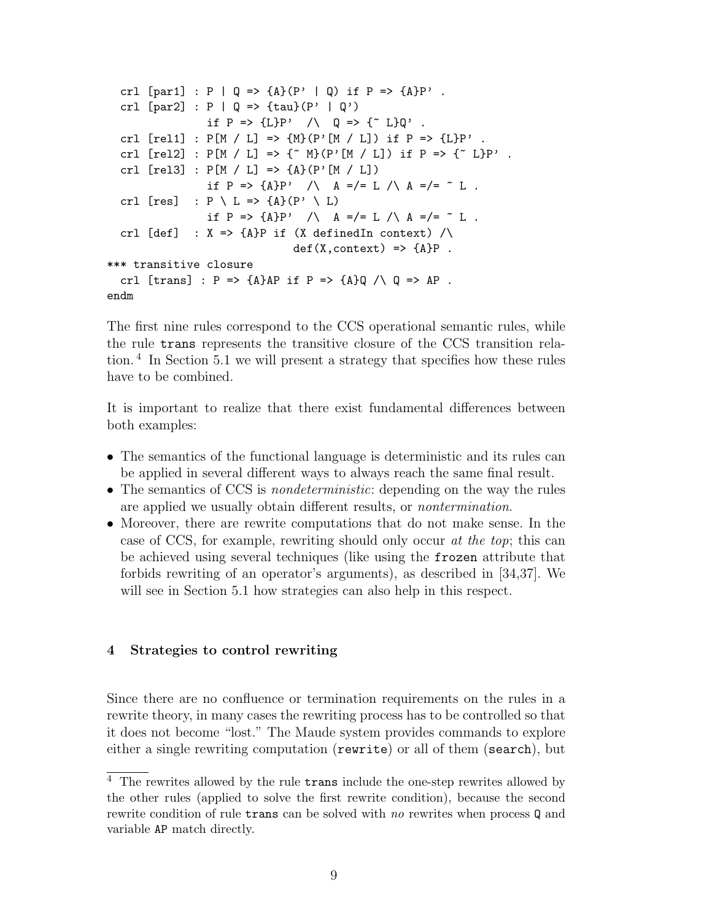```
crl [par1] : P | Q \Rightarrow {A} (P' | Q) if P \Rightarrow {A} P'.
   crl [par2] : P | Q \implies {\text{tau}}(P' | Q')if P => {L}P' / Q => {^{\sim}} L}Q' .
  crl [rel1] : P[M / L] => \{M\}(P' [M / L]) if P = > {L}P'.
  crl [rel2] : P[M / L] \Rightarrow \{^{\sim} M\}(P' [M / L]) if P \Rightarrow \{^{\sim} L\}P'.
  crl [rel3] : P[M / L] \implies {A}(P' [M / L])if P => {A}P' /\ A =/= L /\ A =/= ~ L .
  crl [res] : P \setminus L \Rightarrow \{A\}(P' \setminus L)if P => {A}P' /\ A =/= L /\ A =/= ~ L .
  crl [def] : X \Rightarrow {\{A\}P \text{ if (X definedIn context) /}\}\def(X, context) \Rightarrow {A}P.
*** transitive closure
  crl [trans] : P \Rightarrow {\{A\}AP \text{ if } P \Rightarrow {\{A\}Q \land Q \Rightarrow AP \text{ }}.
endm
```
The first nine rules correspond to the CCS operational semantic rules, while the rule trans represents the transitive closure of the CCS transition relation. <sup>4</sup> In Section 5.1 we will present a strategy that specifies how these rules have to be combined.

It is important to realize that there exist fundamental differences between both examples:

- The semantics of the functional language is deterministic and its rules can be applied in several different ways to always reach the same final result.
- The semantics of CCS is *nondeterministic*: depending on the way the rules are applied we usually obtain different results, or *nontermination*.
- Moreover, there are rewrite computations that do not make sense. In the case of CCS, for example, rewriting should only occur at the top; this can be achieved using several techniques (like using the frozen attribute that forbids rewriting of an operator's arguments), as described in [34,37]. We will see in Section 5.1 how strategies can also help in this respect.

# 4 Strategies to control rewriting

Since there are no confluence or termination requirements on the rules in a rewrite theory, in many cases the rewriting process has to be controlled so that it does not become "lost." The Maude system provides commands to explore either a single rewriting computation (rewrite) or all of them (search), but

 $4$  The rewrites allowed by the rule trans include the one-step rewrites allowed by the other rules (applied to solve the first rewrite condition), because the second rewrite condition of rule trans can be solved with no rewrites when process Q and variable AP match directly.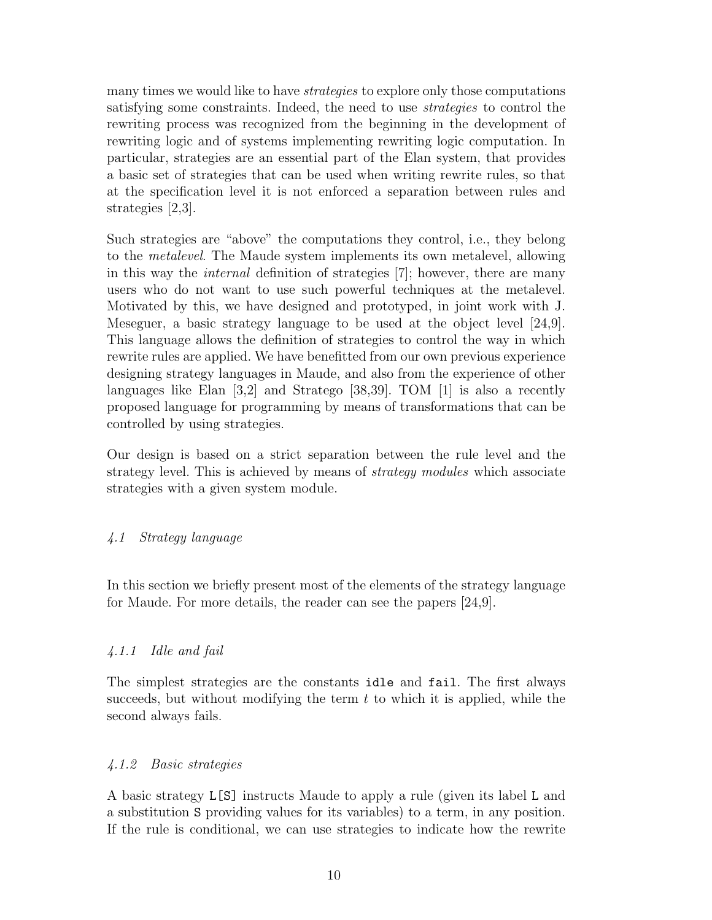many times we would like to have *strategies* to explore only those computations satisfying some constraints. Indeed, the need to use strategies to control the rewriting process was recognized from the beginning in the development of rewriting logic and of systems implementing rewriting logic computation. In particular, strategies are an essential part of the Elan system, that provides a basic set of strategies that can be used when writing rewrite rules, so that at the specification level it is not enforced a separation between rules and strategies [2,3].

Such strategies are "above" the computations they control, i.e., they belong to the metalevel. The Maude system implements its own metalevel, allowing in this way the internal definition of strategies [7]; however, there are many users who do not want to use such powerful techniques at the metalevel. Motivated by this, we have designed and prototyped, in joint work with J. Meseguer, a basic strategy language to be used at the object level [24,9]. This language allows the definition of strategies to control the way in which rewrite rules are applied. We have benefitted from our own previous experience designing strategy languages in Maude, and also from the experience of other languages like Elan [3,2] and Stratego [38,39]. TOM [1] is also a recently proposed language for programming by means of transformations that can be controlled by using strategies.

Our design is based on a strict separation between the rule level and the strategy level. This is achieved by means of *strategy modules* which associate strategies with a given system module.

# 4.1 Strategy language

In this section we briefly present most of the elements of the strategy language for Maude. For more details, the reader can see the papers [24,9].

### 4.1.1 Idle and fail

The simplest strategies are the constants idle and fail. The first always succeeds, but without modifying the term  $t$  to which it is applied, while the second always fails.

### 4.1.2 Basic strategies

A basic strategy L[S] instructs Maude to apply a rule (given its label L and a substitution S providing values for its variables) to a term, in any position. If the rule is conditional, we can use strategies to indicate how the rewrite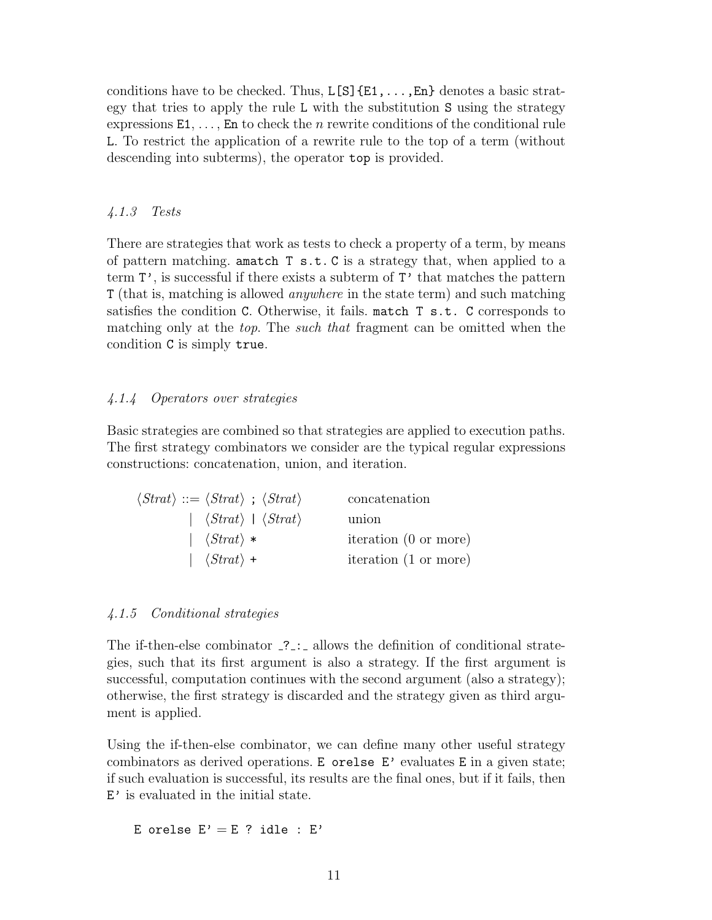conditions have to be checked. Thus,  $L[S]\{E1,\ldots,En\}$  denotes a basic strategy that tries to apply the rule L with the substitution S using the strategy expressions  $E1, \ldots$ , En to check the *n* rewrite conditions of the conditional rule L. To restrict the application of a rewrite rule to the top of a term (without descending into subterms), the operator top is provided.

# 4.1.3 Tests

There are strategies that work as tests to check a property of a term, by means of pattern matching. amatch  $T s.t. C$  is a strategy that, when applied to a term  $T'$ , is successful if there exists a subterm of  $T'$  that matches the pattern T (that is, matching is allowed anywhere in the state term) and such matching satisfies the condition C. Otherwise, it fails. match T s.t. C corresponds to matching only at the top. The such that fragment can be omitted when the condition C is simply true.

# 4.1.4 Operators over strategies

Basic strategies are combined so that strategies are applied to execution paths. The first strategy combinators we consider are the typical regular expressions constructions: concatenation, union, and iteration.

| $\langle Strat \rangle ::= \langle Strat \rangle$ ; $\langle Strat \rangle$ | concatenation         |
|-----------------------------------------------------------------------------|-----------------------|
| $ \langle Strat\rangle  \langle Strat\rangle$                               | union                 |
| $\left \ \langle \text{Strat} \rangle \right $                              | iteration (0 or more) |
| $ \langle Strat\rangle +$                                                   | iteration (1 or more) |

# 4.1.5 Conditional strategies

The if-then-else combinator  $\overline{.}$ : allows the definition of conditional strategies, such that its first argument is also a strategy. If the first argument is successful, computation continues with the second argument (also a strategy); otherwise, the first strategy is discarded and the strategy given as third argument is applied.

Using the if-then-else combinator, we can define many other useful strategy combinators as derived operations. E orelse E' evaluates E in a given state; if such evaluation is successful, its results are the final ones, but if it fails, then E' is evaluated in the initial state.

E orelse  $E' = E$  ? idle :  $E'$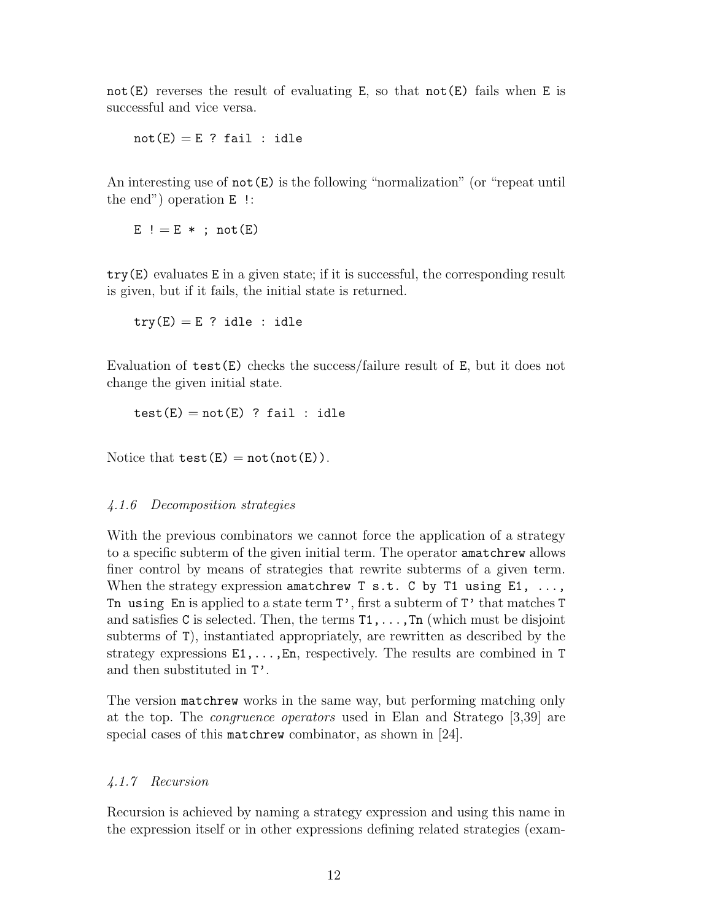not  $(E)$  reverses the result of evaluating E, so that not  $(E)$  fails when E is successful and vice versa.

 $not(E) = E$  ? fail : idle

An interesting use of  $not(E)$  is the following "normalization" (or "repeat until the end") operation E !:

 $E$  ! = E \* ; not (E)

try(E) evaluates E in a given state; if it is successful, the corresponding result is given, but if it fails, the initial state is returned.

 $try(E) = E$  ? idle : idle

Evaluation of test(E) checks the success/failure result of E, but it does not change the given initial state.

 $test(E) = not(E)$  ? fail : idle

Notice that  $test(E) = not(not(E))$ .

# 4.1.6 Decomposition strategies

With the previous combinators we cannot force the application of a strategy to a specific subterm of the given initial term. The operator amatchrew allows finer control by means of strategies that rewrite subterms of a given term. When the strategy expression amatchrew  $T s.t. C by T1 using E1, ...,$ Tn using En is applied to a state term  $T'$ , first a subterm of  $T'$  that matches  $T$ and satisfies C is selected. Then, the terms  $T_1, \ldots, T_n$  (which must be disjoint subterms of T), instantiated appropriately, are rewritten as described by the strategy expressions  $E1, \ldots, En$ , respectively. The results are combined in T and then substituted in T'.

The version matchrew works in the same way, but performing matching only at the top. The congruence operators used in Elan and Stratego [3,39] are special cases of this matchrew combinator, as shown in [24].

# 4.1.7 Recursion

Recursion is achieved by naming a strategy expression and using this name in the expression itself or in other expressions defining related strategies (exam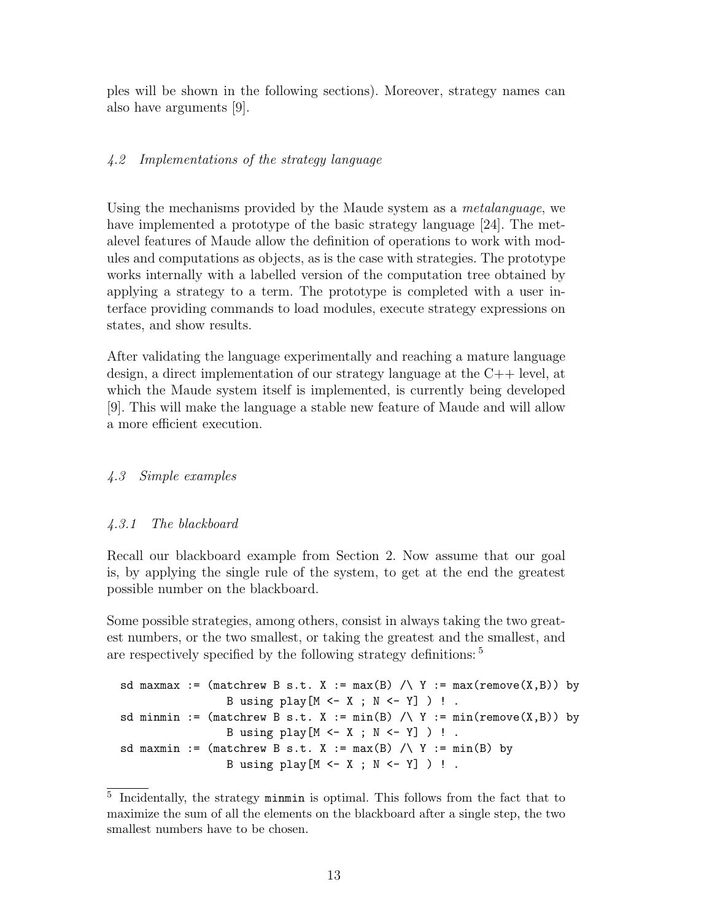ples will be shown in the following sections). Moreover, strategy names can also have arguments [9].

# 4.2 Implementations of the strategy language

Using the mechanisms provided by the Maude system as a metalanguage, we have implemented a prototype of the basic strategy language [24]. The metalevel features of Maude allow the definition of operations to work with modules and computations as objects, as is the case with strategies. The prototype works internally with a labelled version of the computation tree obtained by applying a strategy to a term. The prototype is completed with a user interface providing commands to load modules, execute strategy expressions on states, and show results.

After validating the language experimentally and reaching a mature language design, a direct implementation of our strategy language at the C++ level, at which the Maude system itself is implemented, is currently being developed [9]. This will make the language a stable new feature of Maude and will allow a more efficient execution.

# 4.3 Simple examples

# 4.3.1 The blackboard

Recall our blackboard example from Section 2. Now assume that our goal is, by applying the single rule of the system, to get at the end the greatest possible number on the blackboard.

Some possible strategies, among others, consist in always taking the two greatest numbers, or the two smallest, or taking the greatest and the smallest, and are respectively specified by the following strategy definitions: <sup>5</sup>

```
sd maxmax := (matchrew B s.t. X := max(B) /\ Y := max(remove(X,B)) by
                  B using play[M \leftarrow X ; N \leftarrow Y] ) ! .
sd minmin := (matchrew B s.t. X := min(B) / \ Y := min(remove(X,B)) by
                  B using play[M \leftarrow X ; N \leftarrow Y] ) ! .
sd maxmin := (matchrew B s.t. X := max(B) /\ Y := min(B) by
                  B using play[M \leftarrow X ; N \leftarrow Y] ) ! .
```
<sup>5</sup> Incidentally, the strategy minmin is optimal. This follows from the fact that to maximize the sum of all the elements on the blackboard after a single step, the two smallest numbers have to be chosen.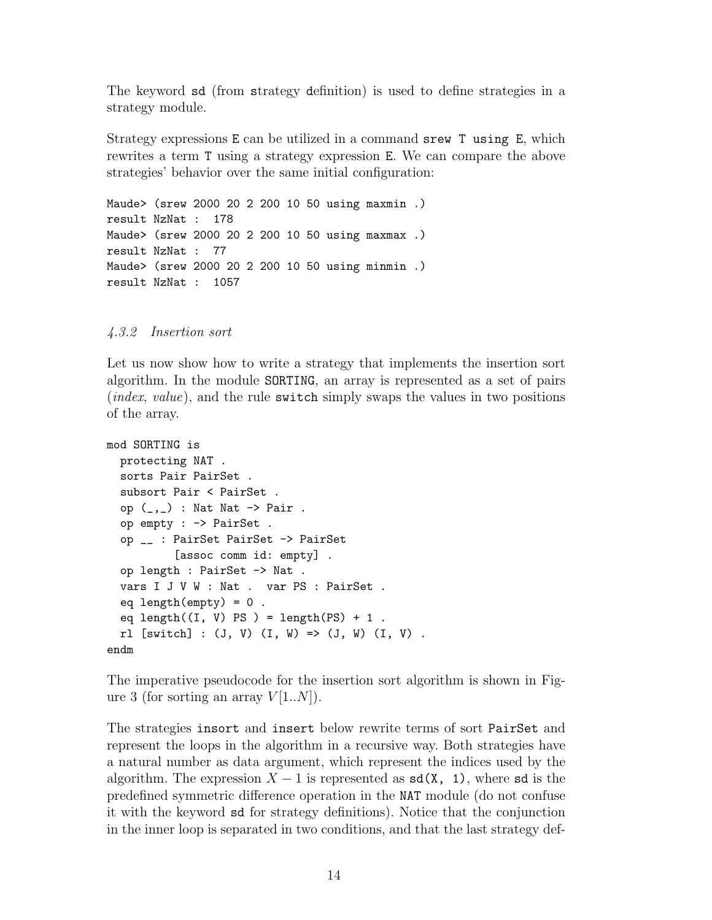The keyword sd (from strategy definition) is used to define strategies in a strategy module.

Strategy expressions E can be utilized in a command srew T using E, which rewrites a term T using a strategy expression E. We can compare the above strategies' behavior over the same initial configuration:

Maude> (srew 2000 20 2 200 10 50 using maxmin .) result NzNat : 178 Maude> (srew 2000 20 2 200 10 50 using maxmax .) result NzNat : 77 Maude> (srew 2000 20 2 200 10 50 using minmin .) result NzNat : 1057

### 4.3.2 Insertion sort

Let us now show how to write a strategy that implements the insertion sort algorithm. In the module SORTING, an array is represented as a set of pairs (*index, value*), and the rule switch simply swaps the values in two positions of the array.

```
mod SORTING is
  protecting NAT .
  sorts Pair PairSet .
  subsort Pair < PairSet .
  op (\_,\_) : Nat Nat \rightarrow Pair .
  op empty : -> PairSet .
  op __ : PairSet PairSet -> PairSet
          [assoc comm id: empty] .
  op length : PairSet -> Nat .
  vars I J V W : Nat . var PS : PairSet .
  eq length(empty) = 0.
  eq length((I, V) PS ) = length(PS) + 1.
  r1 [switch] : (J, V) (I, W) => (J, W) (I, V) .
endm
```
The imperative pseudocode for the insertion sort algorithm is shown in Figure 3 (for sorting an array  $V[1..N]$ ).

The strategies insort and insert below rewrite terms of sort PairSet and represent the loops in the algorithm in a recursive way. Both strategies have a natural number as data argument, which represent the indices used by the algorithm. The expression  $X - 1$  is represented as  $sd(X, 1)$ , where sd is the predefined symmetric difference operation in the NAT module (do not confuse it with the keyword sd for strategy definitions). Notice that the conjunction in the inner loop is separated in two conditions, and that the last strategy def-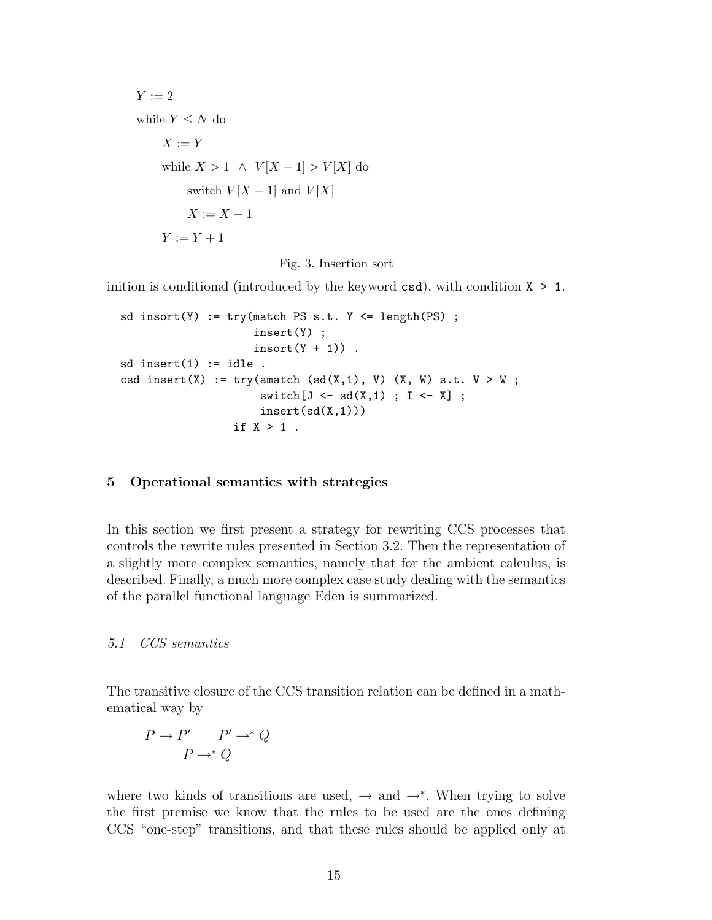$$
Y := 2
$$
  
while  $Y \leq N$  do  

$$
X := Y
$$
  
while  $X > 1 \land V[X-1] > V[X]$  do  
switch  $V[X-1]$  and  $V[X]$   

$$
X := X - 1
$$
  

$$
Y := Y + 1
$$

Fig. 3. Insertion sort

inition is conditional (introduced by the keyword  $csd$ ), with condition  $X > 1$ .

```
sd insort(Y) := try(match PS s.t. Y <= length(PS) ;
                      insert(Y) ;
                      \text{insert}(Y + 1).
sd insert(1) := idle.
csd insert(X) := try(amatch (sd(X,1), V) (X, W) s.t. V > W;
                       switch[J \leftarrow sd(X,1) ; I \leftarrow X];
                       insert(sd(X,1)))if X > 1 .
```
### 5 Operational semantics with strategies

In this section we first present a strategy for rewriting CCS processes that controls the rewrite rules presented in Section 3.2. Then the representation of a slightly more complex semantics, namely that for the ambient calculus, is described. Finally, a much more complex case study dealing with the semantics of the parallel functional language Eden is summarized.

### 5.1 CCS semantics

The transitive closure of the CCS transition relation can be defined in a mathematical way by

$$
\frac{P \to P' \quad P' \to^* Q}{P \to^* Q}
$$

where two kinds of transitions are used,  $\rightarrow$  and  $\rightarrow^*$ . When trying to solve the first premise we know that the rules to be used are the ones defining CCS "one-step" transitions, and that these rules should be applied only at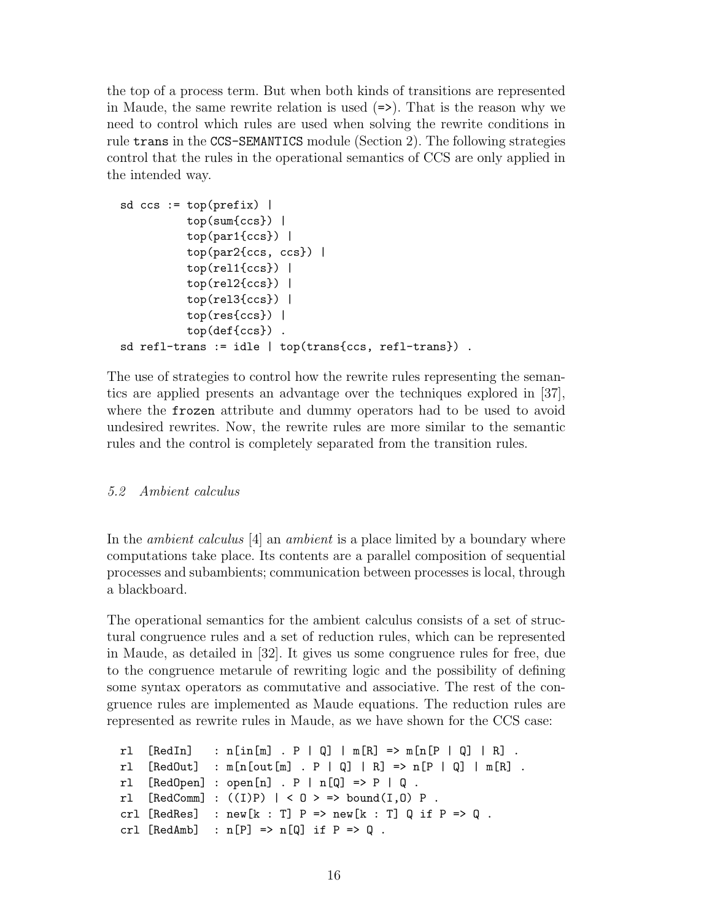the top of a process term. But when both kinds of transitions are represented in Maude, the same rewrite relation is used  $(=)$ . That is the reason why we need to control which rules are used when solving the rewrite conditions in rule trans in the CCS-SEMANTICS module (Section 2). The following strategies control that the rules in the operational semantics of CCS are only applied in the intended way.

```
sd ccs := top(prefix) |
          top(sum{ccs}) |
          top(par1{ccs}) |
          top(par2{ccs, ccs}) |
          top(rel1{ccs}) |
          top(re12\{ccs\}) |
          top(rel3{ccs}) |
          top(res{ccs}) |
          top(def{ccs}) .
sd refl-trans := idle | top(trans{ccs, refl-trans}).
```
The use of strategies to control how the rewrite rules representing the semantics are applied presents an advantage over the techniques explored in [37], where the frozen attribute and dummy operators had to be used to avoid undesired rewrites. Now, the rewrite rules are more similar to the semantic rules and the control is completely separated from the transition rules.

# 5.2 Ambient calculus

In the *ambient calculus* [4] an *ambient* is a place limited by a boundary where computations take place. Its contents are a parallel composition of sequential processes and subambients; communication between processes is local, through a blackboard.

The operational semantics for the ambient calculus consists of a set of structural congruence rules and a set of reduction rules, which can be represented in Maude, as detailed in [32]. It gives us some congruence rules for free, due to the congruence metarule of rewriting logic and the possibility of defining some syntax operators as commutative and associative. The rest of the congruence rules are implemented as Maude equations. The reduction rules are represented as rewrite rules in Maude, as we have shown for the CCS case:

```
rl [RedIn] : n[in[m] . P | Q] | m[R] => m[n[P | Q] | R] .
rl [RedOut] : m[n[out[m] . P | Q] | R] => n[P | Q] | m[R].
rl [RedOpen] : open[n] . P | n[Q] => P | Q .
rl [RedComm] : ((I)P) | < 0 > => bound(I,0) P.
crl [RedRes] : new[k : T] P => new[k : T] Q if P => Q.
crl [RedAmb] : n[P] \Rightarrow n[Q] if P \Rightarrow Q.
```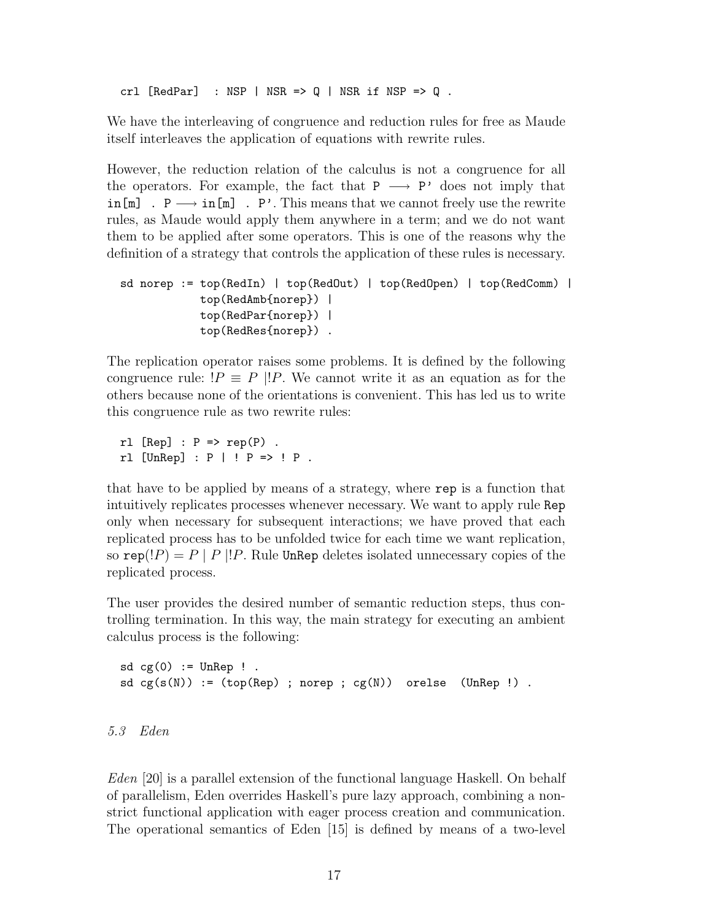crl  $[RedPar]$  : NSP | NSR =>  $Q$  | NSR if NSP =>  $Q$ .

We have the interleaving of congruence and reduction rules for free as Maude itself interleaves the application of equations with rewrite rules.

However, the reduction relation of the calculus is not a congruence for all the operators. For example, the fact that  $P \longrightarrow P'$  does not imply that  $\text{in}[\mathbb{m}]$  . P  $\longrightarrow$  in  $[\mathbb{m}]$  . P'. This means that we cannot freely use the rewrite rules, as Maude would apply them anywhere in a term; and we do not want them to be applied after some operators. This is one of the reasons why the definition of a strategy that controls the application of these rules is necessary.

```
sd norep := top(RedIn) | top(RedOut) | top(RedOpen) | top(RedComm) |
            top(RedAmb{norep}) |
            top(RedPar{norep}) |
            top(RedRes{norep}) .
```
The replication operator raises some problems. It is defined by the following congruence rule:  $P \equiv P || P$ . We cannot write it as an equation as for the others because none of the orientations is convenient. This has led us to write this congruence rule as two rewrite rules:

 $rl [Rep] : P \Rightarrow rep(P) .$ rl  $[UnRep] : P | P = > P P$ .

that have to be applied by means of a strategy, where rep is a function that intuitively replicates processes whenever necessary. We want to apply rule Rep only when necessary for subsequent interactions; we have proved that each replicated process has to be unfolded twice for each time we want replication, so rep(!*P*) = *P* | *P* |!*P*. Rule UnRep deletes isolated unnecessary copies of the replicated process.

The user provides the desired number of semantic reduction steps, thus controlling termination. In this way, the main strategy for executing an ambient calculus process is the following:

```
sd cg(0) := UnRep !.
sd\ cg(s(N)) := (top(Rep) ; norep ; cg(N)) orelse (UnRep !).
```

```
5.3 Eden
```
Eden [20] is a parallel extension of the functional language Haskell. On behalf of parallelism, Eden overrides Haskell's pure lazy approach, combining a nonstrict functional application with eager process creation and communication. The operational semantics of Eden [15] is defined by means of a two-level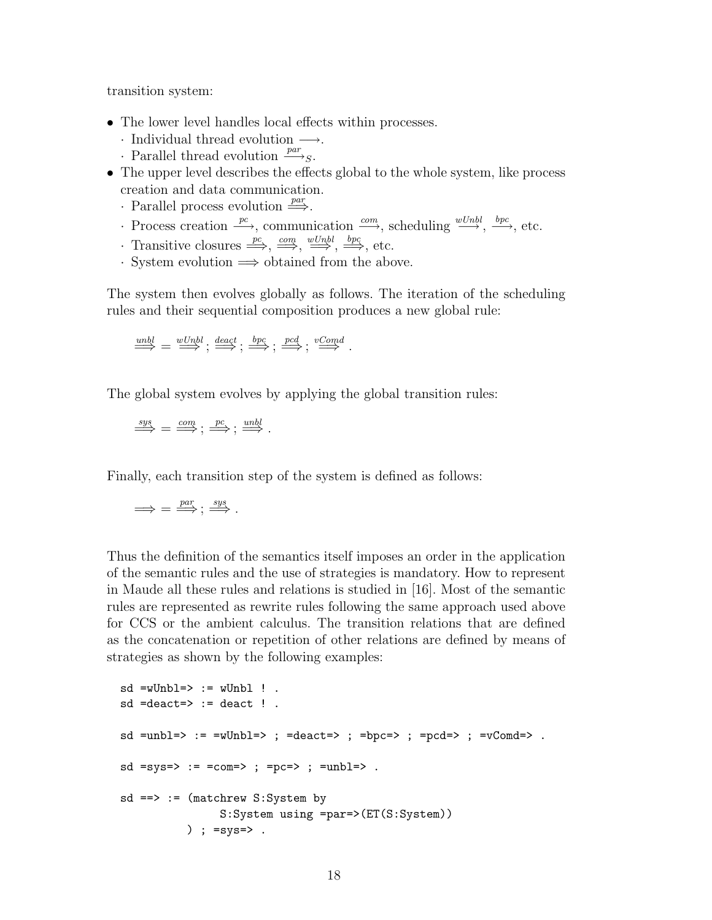transition system:

- The lower level handles local effects within processes.
	- $\cdot$  Individual thread evolution  $\longrightarrow$ .
	- Parallel thread evolution  $\frac{par}{ }$ .
- The upper level describes the effects global to the whole system, like process creation and data communication.
	- Parallel process evolution  $\stackrel{par}{\Longrightarrow}$ .
	- Process creation  $\stackrel{pc}{\longrightarrow}$ , communication  $\stackrel{com}{\longrightarrow}$ , scheduling  $\stackrel{wUnbl}{\longrightarrow}$ ,  $\stackrel{bpc}{\longrightarrow}$ , etc.
	- Transitive closures  $\xrightarrow{pc}$ ,  $\xrightarrow{com}$ ,  $\xrightarrow{wUnbl}$ ,  $\xrightarrow{bpc}$ , etc.
	- · System evolution =⇒ obtained from the above.

The system then evolves globally as follows. The iteration of the scheduling rules and their sequential composition produces a new global rule:

$$
\stackrel{unbl}{\Longrightarrow} = \stackrel{wUnbl}{\Longrightarrow}; \stackrel{deact}{\Longrightarrow}; \stackrel{bpc}{\Longrightarrow}; \stackrel{pcd}{\Longrightarrow}; \stackrel{vComd}{\Longrightarrow}.
$$

The global system evolves by applying the global transition rules:

$$
\stackrel{sys}{\Longrightarrow} = \stackrel{com}{\Longrightarrow}; \stackrel{pc}{\Longrightarrow}; \stackrel{unbl}{\Longrightarrow}.
$$

Finally, each transition step of the system is defined as follows:

$$
\Longrightarrow = \stackrel{par}{\Longrightarrow} ; \stackrel{sys}{\Longrightarrow} .
$$

Thus the definition of the semantics itself imposes an order in the application of the semantic rules and the use of strategies is mandatory. How to represent in Maude all these rules and relations is studied in [16]. Most of the semantic rules are represented as rewrite rules following the same approach used above for CCS or the ambient calculus. The transition relations that are defined as the concatenation or repetition of other relations are defined by means of strategies as shown by the following examples:

```
sd = wUnbl \implies := wUnbl ! .
sd =deact=> := deact ! .
sd =unbl=> := =wUnbl=> ; =deact=> ; =bpc=> ; =pcd=> ; =vComd=> .
sd = sys \Rightarrow := =com \Rightarrow ; =pc \Rightarrow ; =umb \Rightarrow .sd ==> := (matchrew S:System by
                  S:System using =par=>(ET(S:System))
            ) ; =sys=> .
```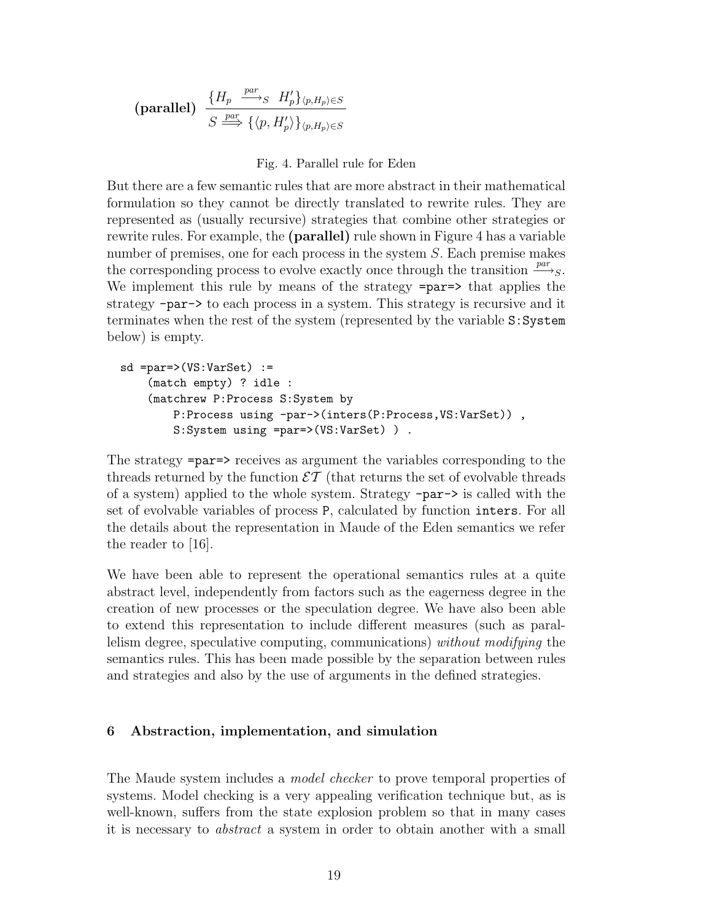$$
\text{(parallel)} \ \frac{\{H_p \xrightarrow{par} S \ H'_p\}_{\langle p, H_p \rangle \in S}}{S \xrightarrow{par} \{\langle p, H'_p \rangle\}_{\langle p, H_p \rangle \in S}}
$$

# Fig. 4. Parallel rule for Eden

But there are a few semantic rules that are more abstract in their mathematical formulation so they cannot be directly translated to rewrite rules. They are represented as (usually recursive) strategies that combine other strategies or rewrite rules. For example, the (parallel) rule shown in Figure 4 has a variable number of premises, one for each process in the system S. Each premise makes the corresponding process to evolve exactly once through the transition  $\frac{par}{\longrightarrow_S}$ . We implement this rule by means of the strategy =par=> that applies the strategy -par-> to each process in a system. This strategy is recursive and it terminates when the rest of the system (represented by the variable S:System below) is empty.

```
sd = par \geq (VS:VarSet) :=(match empty) ? idle :
    (matchrew P:Process S:System by
        P:Process using -par->(inters(P:Process,VS:VarSet)) ,
        S:System using =par=>(VS:VarSet) ) .
```
The strategy =par=> receives as argument the variables corresponding to the threads returned by the function  $\mathcal{E} \mathcal{T}$  (that returns the set of evolvable threads of a system) applied to the whole system. Strategy -par-> is called with the set of evolvable variables of process P, calculated by function inters. For all the details about the representation in Maude of the Eden semantics we refer the reader to [16].

We have been able to represent the operational semantics rules at a quite abstract level, independently from factors such as the eagerness degree in the creation of new processes or the speculation degree. We have also been able to extend this representation to include different measures (such as parallelism degree, speculative computing, communications) without modifying the semantics rules. This has been made possible by the separation between rules and strategies and also by the use of arguments in the defined strategies.

# 6 Abstraction, implementation, and simulation

The Maude system includes a *model checker* to prove temporal properties of systems. Model checking is a very appealing verification technique but, as is well-known, suffers from the state explosion problem so that in many cases it is necessary to abstract a system in order to obtain another with a small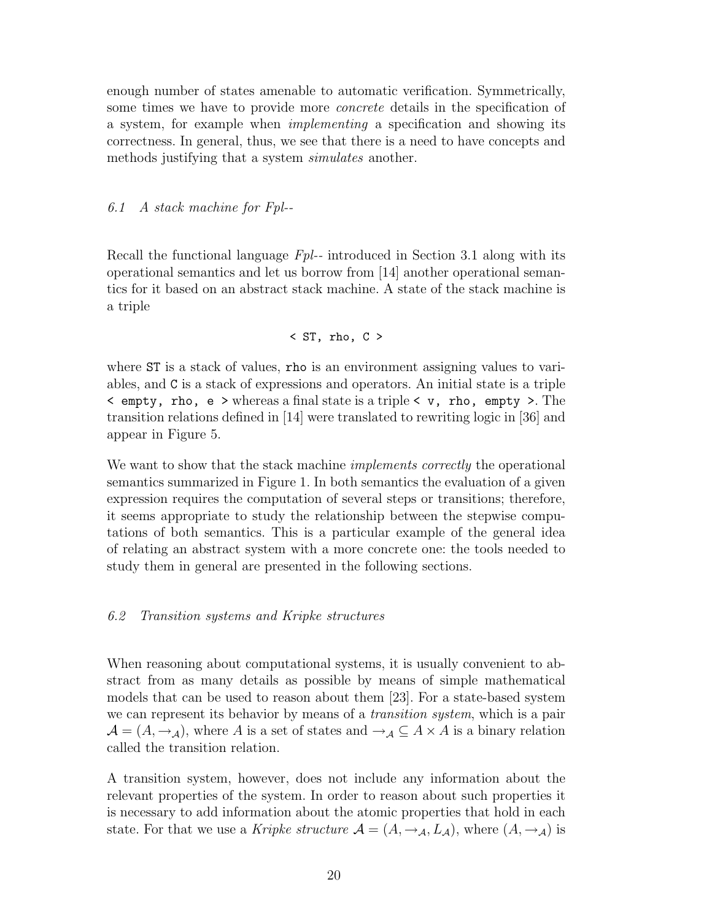enough number of states amenable to automatic verification. Symmetrically, some times we have to provide more *concrete* details in the specification of a system, for example when implementing a specification and showing its correctness. In general, thus, we see that there is a need to have concepts and methods justifying that a system *simulates* another.

6.1 A stack machine for Fpl--

Recall the functional language  $Fpl$ -- introduced in Section 3.1 along with its operational semantics and let us borrow from [14] another operational semantics for it based on an abstract stack machine. A state of the stack machine is a triple

$$
\langle ST, \text{rho}, C \rangle
$$

where **ST** is a stack of values, **rho** is an environment assigning values to variables, and C is a stack of expressions and operators. An initial state is a triple < empty, rho, e > whereas a final state is a triple < v, rho, empty >. The transition relations defined in [14] were translated to rewriting logic in [36] and appear in Figure 5.

We want to show that the stack machine *implements correctly* the operational semantics summarized in Figure 1. In both semantics the evaluation of a given expression requires the computation of several steps or transitions; therefore, it seems appropriate to study the relationship between the stepwise computations of both semantics. This is a particular example of the general idea of relating an abstract system with a more concrete one: the tools needed to study them in general are presented in the following sections.

### 6.2 Transition systems and Kripke structures

When reasoning about computational systems, it is usually convenient to abstract from as many details as possible by means of simple mathematical models that can be used to reason about them [23]. For a state-based system we can represent its behavior by means of a *transition system*, which is a pair  $\mathcal{A} = (A, \rightarrow_{\mathcal{A}})$ , where A is a set of states and  $\rightarrow_{\mathcal{A}} \subseteq A \times A$  is a binary relation called the transition relation.

A transition system, however, does not include any information about the relevant properties of the system. In order to reason about such properties it is necessary to add information about the atomic properties that hold in each state. For that we use a Kripke structure  $\mathcal{A} = (A, \rightarrow_{\mathcal{A}}, L_{\mathcal{A}})$ , where  $(A, \rightarrow_{\mathcal{A}})$  is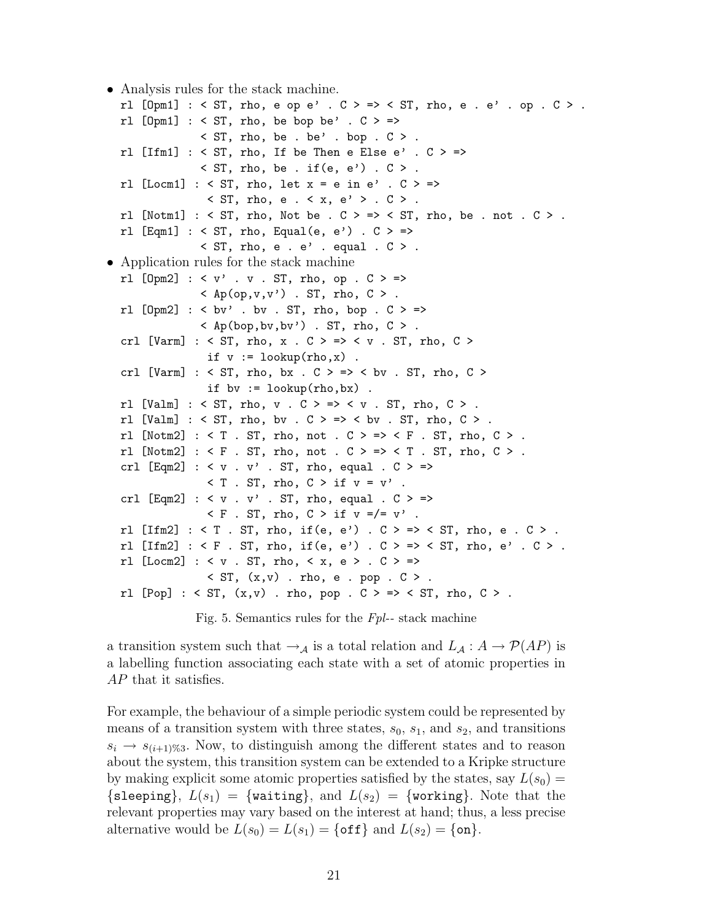```
• Analysis rules for the stack machine.
```

```
rl [Opm1] : < ST, rho, e op e' . C > => < ST, rho, e . e' . op . C > .
  rl [Opm1] : < ST, rho, be bop be'. C > =>
               \leq ST, rho, be . be' . bop . C > 1.
  rl [Ifm1] : < ST, rho, If be Then e Else e' . C > =>
               \leq ST, rho, be . if (e, e') . C > 1.
  rl [Locm1] : < ST, rho, let x = e in e' . C > =>\langle ST, rho, e \langle \times x, e' \rangle . C \rangle .
  rl [Notm1] : \leq ST, rho, Not be . C > => \leq ST, rho, be . not . C > .
  rl [Eqm1] : < ST, rho, Equal(e, e') : C > \Rightarrow\leq ST, rho, e . e' . equal . C > .
• Application rules for the stack machine
  rl [Opm2] : <v'. v. ST, rho, op. C> =>
               \langle Ap(op,v,v') . ST, rho, C > .rl [Opm2] : < bv' . bv . ST, rho, bop . C > =>
               \langle Ap(bop,bv,bv') . ST, rho, C > .
  crl [Varm] : < ST, rho, x . C > => < v . ST, rho, C >
                if v := \text{lookup}(rho, x).
  crl [Varm] : < ST, rho, bx . C > \Rightarrow < bv . ST, rho, C >if by := lookup(rho, bx).
  rl [Valm] : < ST, rho, v . C > \Rightarrow < v . ST, rho, C >.
  rl [Valm] : < ST, rho, bv . C > \Rightarrow < bv . ST, rho, C > .
  rl [Notm2] : \leq T. ST, rho, not . C > \Rightarrow \leq F. ST, rho, C >.
  rl [Notm2] : \leq F . ST, rho, not . C > => \leq T . ST, rho, C > .
  crl [Eqm2] : < v . v' . ST, rho, equal . C > =&gt;\langle T \cdot ST, rho, C > if v = v'.
  crl [Eqm2] : < v . v' . ST, rho, equal . C > \Rightarrow\leq F . ST, rho, C > if v = / = v'.
  rl [Ifm2] : < T. ST, rho, if(e, e'). C > => < ST, rho, e. C >.
  rl [Ifm2] : < F. ST, rho, if(e, e'). C > = > < ST, rho, e'. C >.
  rl [Locm2] : < v . ST, rho, < x, e > . C > =>
                \leq ST, (x, v) . rho, e . pop . C > 1.
  rl [Pop] : < ST, (x,v) . rho, pop . C > => < ST, rho, C > .
```
Fig. 5. Semantics rules for the Fpl-- stack machine

a transition system such that  $\rightarrow_A$  is a total relation and  $L_A: A \rightarrow \mathcal{P}(AP)$  is a labelling function associating each state with a set of atomic properties in AP that it satisfies.

For example, the behaviour of a simple periodic system could be represented by means of a transition system with three states,  $s_0$ ,  $s_1$ , and  $s_2$ , and transitions  $s_i \rightarrow s_{(i+1)\%3}$ . Now, to distinguish among the different states and to reason about the system, this transition system can be extended to a Kripke structure by making explicit some atomic properties satisfied by the states, say  $L(s_0) =$ {sleeping},  $L(s_1) = \{\text{waiting}\},\$  and  $L(s_2) = \{\text{working}\}.$  Note that the relevant properties may vary based on the interest at hand; thus, a less precise alternative would be  $L(s_0) = L(s_1) = \{\text{off}\}\$  and  $L(s_2) = \{\text{on}\}\.$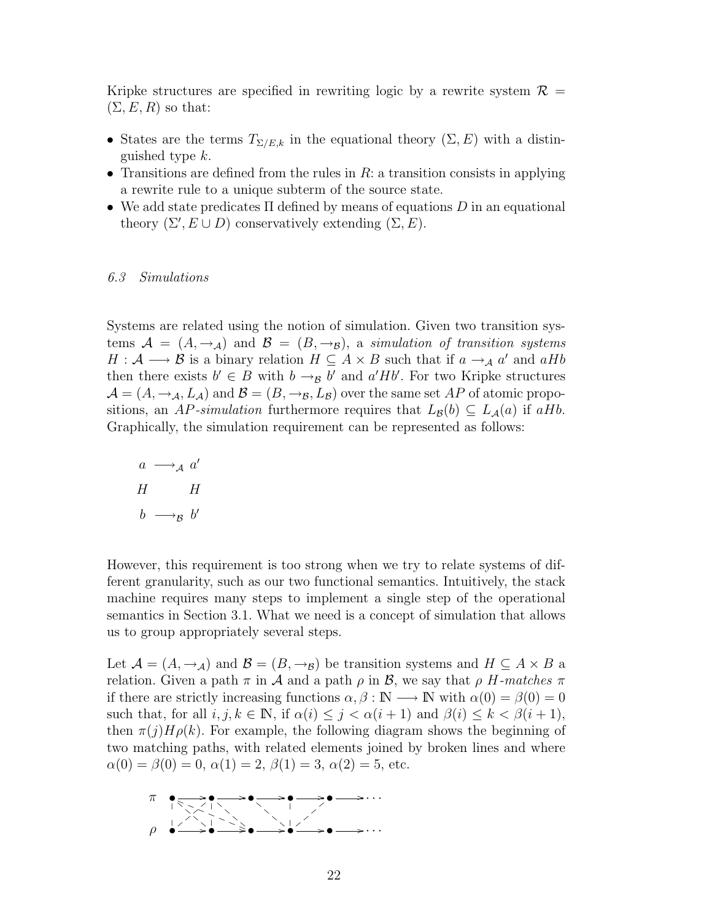Kripke structures are specified in rewriting logic by a rewrite system  $\mathcal{R} =$  $(\Sigma, E, R)$  so that:

- States are the terms  $T_{\Sigma/E,k}$  in the equational theory  $(\Sigma, E)$  with a distinguished type k.
- Transitions are defined from the rules in  $R$ : a transition consists in applying a rewrite rule to a unique subterm of the source state.
- We add state predicates  $\Pi$  defined by means of equations D in an equational theory  $(\Sigma', E \cup D)$  conservatively extending  $(\Sigma, E)$ .

#### 6.3 Simulations

Systems are related using the notion of simulation. Given two transition systems  $\mathcal{A} = (A, \rightarrow_A)$  and  $\mathcal{B} = (B, \rightarrow_B)$ , a simulation of transition systems  $H: \mathcal{A} \longrightarrow \mathcal{B}$  is a binary relation  $H \subseteq A \times B$  such that if  $a \to_{\mathcal{A}} a'$  and  $aHb$ then there exists  $b' \in B$  with  $b \rightarrow_{\mathcal{B}} b'$  and  $a'Hb'$ . For two Kripke structures  $\mathcal{A} = (A, \rightarrow_{\mathcal{A}}, L_{\mathcal{A}})$  and  $\mathcal{B} = (B, \rightarrow_{\mathcal{B}}, L_{\mathcal{B}})$  over the same set AP of atomic propositions, an AP-simulation furthermore requires that  $L_{\mathcal{B}}(b) \subseteq L_{\mathcal{A}}(a)$  if aHb. Graphically, the simulation requirement can be represented as follows:

$$
a \longrightarrow_A a'
$$
  
\n
$$
H \qquad H
$$
  
\n
$$
b \longrightarrow_B b'
$$

However, this requirement is too strong when we try to relate systems of different granularity, such as our two functional semantics. Intuitively, the stack machine requires many steps to implement a single step of the operational semantics in Section 3.1. What we need is a concept of simulation that allows us to group appropriately several steps.

Let  $\mathcal{A} = (A, \rightarrow_{\mathcal{A}})$  and  $\mathcal{B} = (B, \rightarrow_{\mathcal{B}})$  be transition systems and  $H \subseteq A \times B$  a relation. Given a path  $\pi$  in A and a path  $\rho$  in B, we say that  $\rho$  H-matches  $\pi$ if there are strictly increasing functions  $\alpha, \beta : \mathbb{N} \longrightarrow \mathbb{N}$  with  $\alpha(0) = \beta(0) = 0$ such that, for all  $i, j, k \in \mathbb{N}$ , if  $\alpha(i) \leq j < \alpha(i+1)$  and  $\beta(i) \leq k < \beta(i+1)$ , then  $\pi(j)H\rho(k)$ . For example, the following diagram shows the beginning of two matching paths, with related elements joined by broken lines and where  $\alpha(0) = \beta(0) = 0, \alpha(1) = 2, \beta(1) = 3, \alpha(2) = 5$ , etc.

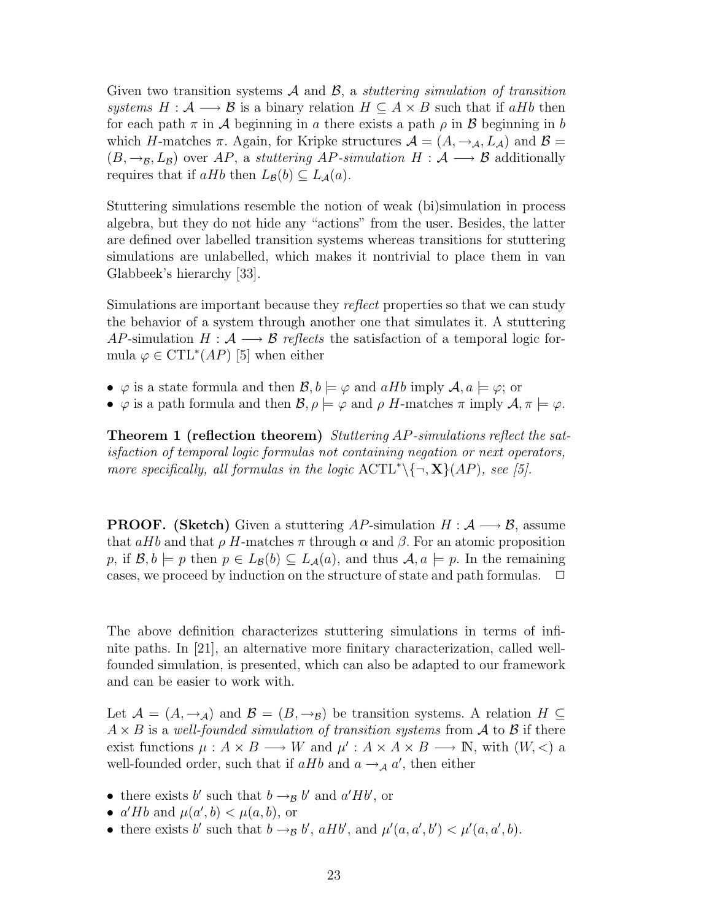Given two transition systems  $\mathcal A$  and  $\mathcal B$ , a *stuttering simulation of transition* systems  $H : \mathcal{A} \longrightarrow \mathcal{B}$  is a binary relation  $H \subseteq A \times B$  such that if aHb then for each path  $\pi$  in A beginning in a there exists a path  $\rho$  in B beginning in b which H-matches  $\pi$ . Again, for Kripke structures  $\mathcal{A} = (A, \rightarrow_{\mathcal{A}}, L_{\mathcal{A}})$  and  $\mathcal{B} =$  $(B, \rightarrow_B, L_B)$  over AP, a stuttering AP-simulation H :  $\mathcal{A} \longrightarrow \mathcal{B}$  additionally requires that if  $aHb$  then  $L_{\mathcal{B}}(b) \subseteq L_{\mathcal{A}}(a)$ .

Stuttering simulations resemble the notion of weak (bi)simulation in process algebra, but they do not hide any "actions" from the user. Besides, the latter are defined over labelled transition systems whereas transitions for stuttering simulations are unlabelled, which makes it nontrivial to place them in van Glabbeek's hierarchy [33].

Simulations are important because they reflect properties so that we can study the behavior of a system through another one that simulates it. A stuttering AP-simulation  $H : \mathcal{A} \longrightarrow \mathcal{B}$  reflects the satisfaction of a temporal logic formula  $\varphi \in \mathrm{CTL}^*(AP)$  [5] when either

- $\varphi$  is a state formula and then  $\mathcal{B}, b \models \varphi$  and  $aHb$  imply  $\mathcal{A}, a \models \varphi$ ; or
- $\varphi$  is a path formula and then  $\mathcal{B}, \rho \models \varphi$  and  $\rho$  H-matches  $\pi$  imply  $\mathcal{A}, \pi \models \varphi$ .

Theorem 1 (reflection theorem) Stuttering AP-simulations reflect the satisfaction of temporal logic formulas not containing negation or next operators, more specifically, all formulas in the logic  $\mathrm{ACTL}^* \setminus \{\neg, \mathbf{X}\}(AP)$ , see [5].

**PROOF.** (Sketch) Given a stuttering AP-simulation  $H : \mathcal{A} \longrightarrow \mathcal{B}$ , assume that aHb and that  $\rho$  H-matches  $\pi$  through  $\alpha$  and  $\beta$ . For an atomic proposition p, if  $\mathcal{B}, b \models p$  then  $p \in L_{\mathcal{B}}(b) \subseteq L_{\mathcal{A}}(a)$ , and thus  $\mathcal{A}, a \models p$ . In the remaining cases, we proceed by induction on the structure of state and path formulas.  $\Box$ 

The above definition characterizes stuttering simulations in terms of infinite paths. In [21], an alternative more finitary characterization, called wellfounded simulation, is presented, which can also be adapted to our framework and can be easier to work with.

Let  $\mathcal{A} = (A, \rightarrow_A)$  and  $\mathcal{B} = (B, \rightarrow_B)$  be transition systems. A relation  $H \subseteq$  $A \times B$  is a well-founded simulation of transition systems from A to B if there exist functions  $\mu: A \times B \longrightarrow W$  and  $\mu': A \times A \times B \longrightarrow \mathbb{N}$ , with  $(W, \leq)$  a well-founded order, such that if  $aHb$  and  $a \rightarrow_A a'$ , then either

- there exists b' such that  $b \rightarrow_B b'$  and  $a'Hb'$ , or
- $a' H b$  and  $\mu(a', b) < \mu(a, b)$ , or
- there exists b' such that  $b \rightarrow_{\mathcal{B}} b'$ ,  $aHb'$ , and  $\mu'(a, a', b') < \mu'(a, a', b)$ .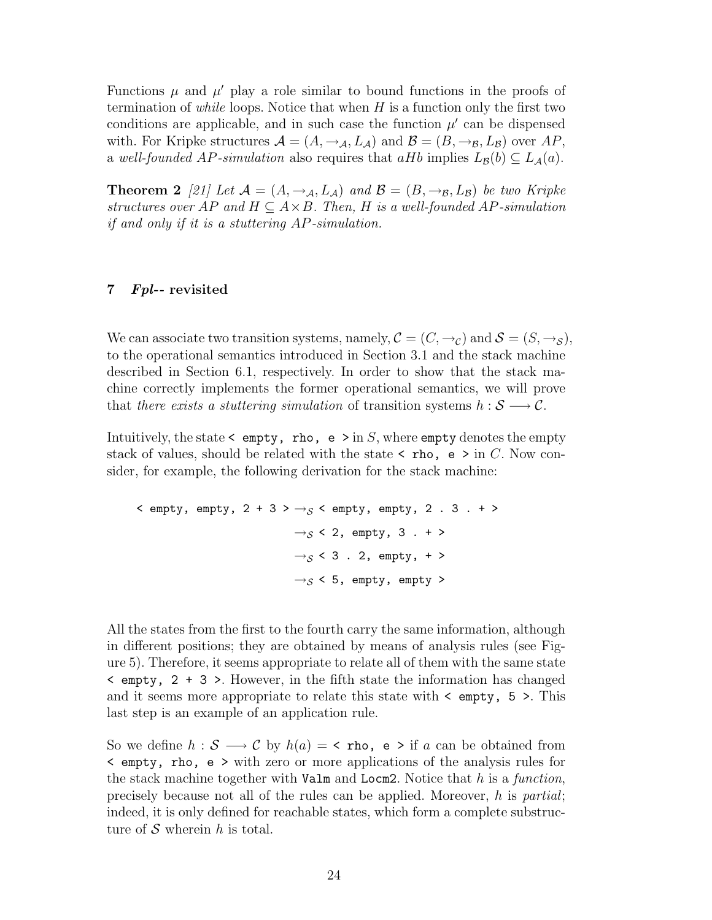Functions  $\mu$  and  $\mu'$  play a role similar to bound functions in the proofs of termination of *while* loops. Notice that when  $H$  is a function only the first two conditions are applicable, and in such case the function  $\mu'$  can be dispensed with. For Kripke structures  $\mathcal{A} = (A, \rightarrow_{\mathcal{A}}, L_{\mathcal{A}})$  and  $\mathcal{B} = (B, \rightarrow_{\mathcal{B}}, L_{\mathcal{B}})$  over  $AP$ , a well-founded AP-simulation also requires that aHb implies  $L_{\mathcal{B}}(b) \subseteq L_{\mathcal{A}}(a)$ .

**Theorem 2** [21] Let  $\mathcal{A} = (A, \rightarrow_{\mathcal{A}}, L_{\mathcal{A}})$  and  $\mathcal{B} = (B, \rightarrow_{\mathcal{B}}, L_{\mathcal{B}})$  be two Kripke structures over AP and  $H \subseteq A \times B$ . Then, H is a well-founded AP-simulation if and only if it is a stuttering AP-simulation.

### 7 Fpl-- revisited

We can associate two transition systems, namely,  $\mathcal{C} = (C, \rightarrow_C)$  and  $\mathcal{S} = (S, \rightarrow_S)$ , to the operational semantics introduced in Section 3.1 and the stack machine described in Section 6.1, respectively. In order to show that the stack machine correctly implements the former operational semantics, we will prove that there exists a stuttering simulation of transition systems  $h : \mathcal{S} \longrightarrow \mathcal{C}$ .

Intuitively, the state  $\leq$  empty, rho, e  $\geq$  in S, where empty denotes the empty stack of values, should be related with the state  $\lt$  rho, e  $\gt$  in C. Now consider, for example, the following derivation for the stack machine:

```
\leq empty, empty, 2 + 3 > \rightarrow_S \leq empty, empty, 2 . 3 . + >
                                 \rightarrow_S < 2, empty, 3 . + >
                                 \rightarrow_S < 3 . 2, empty, + >
                                 \rightarrow_S < 5, empty, empty >
```
All the states from the first to the fourth carry the same information, although in different positions; they are obtained by means of analysis rules (see Figure 5). Therefore, it seems appropriate to relate all of them with the same state  $\leq$  empty, 2 + 3 >. However, in the fifth state the information has changed and it seems more appropriate to relate this state with < empty, 5 >. This last step is an example of an application rule.

So we define  $h : \mathcal{S} \longrightarrow \mathcal{C}$  by  $h(a) = \langle \text{rho}, \text{e} \rangle$  if a can be obtained from < empty, rho, e > with zero or more applications of the analysis rules for the stack machine together with  $Valm$  and  $Locm2$ . Notice that h is a function, precisely because not all of the rules can be applied. Moreover,  $h$  is partial; indeed, it is only defined for reachable states, which form a complete substructure of  $S$  wherein h is total.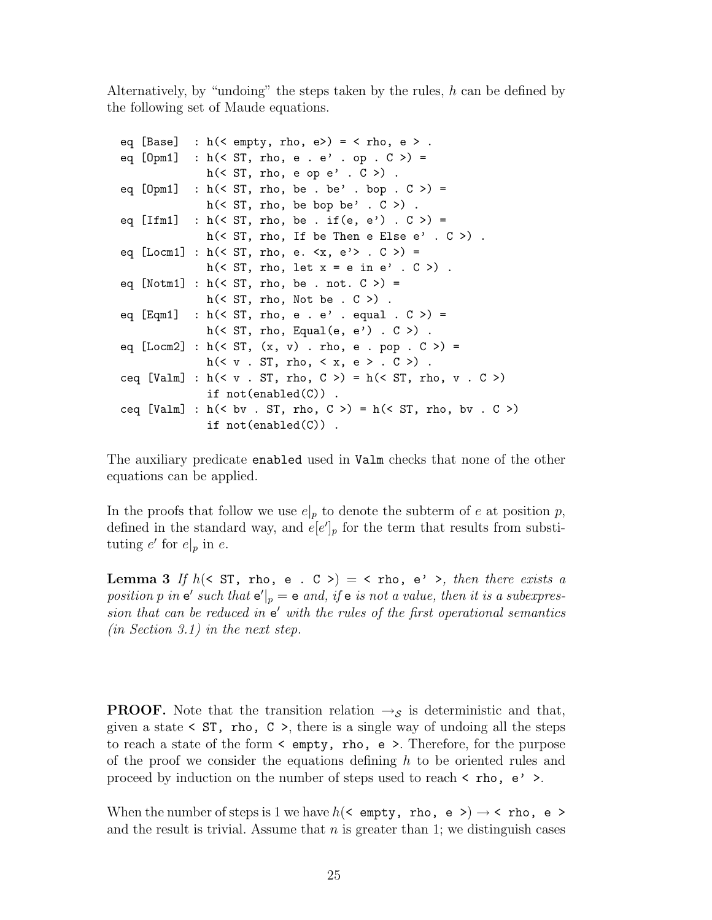Alternatively, by "undoing" the steps taken by the rules,  $h$  can be defined by the following set of Maude equations.

```
eq [Base] : h (< empty, rho, e>) = < rho, e > .
eq [Opm1] : h(< ST, rho, e . e' . op . C >) =h(\leq ST, rho, e op e' . C>).
eq [0pm1] : h(\leq ST, rho, be : be' : loop : C >) =h(\leq ST, rho, be bop be' . C >).
eq [Ifm1] : h (< ST, rho, be . if (e, e') . C >) =
              h(< ST, rho, If be Then e Else e' . C >).
eq [Locm1] : h(\leq ST, rho, e. \leq x, e' > . C > ) =h(< ST, rho, let x = e in e' . C >).
eq [Notm1] : h(< ST, rho, be . not. C >) =h(< ST, rho, Not be . C >).
eq [Eqm1] : h(< ST, rho, e . e' . equal . C > ) =h(\leq ST, rho, Equal(e, e') . C >).
eq [Locm2] : h(< ST, (x, v) : rho, e : pop : C > ) =h(\langle v . ST, rho, \langle x, e \rangle . C \rangle).
ceq [Valm] : h \left( \langle v . ST, rho, C \rangle \right) = h \left( \langle ST, rho, v . C \rangle \right)if not(enabled(C)) .
ceq [Valm] : h (< bv . ST, rho, C >) = h (< ST, rho, bv . C >)
              if not(enabled(C)) .
```
The auxiliary predicate enabled used in Valm checks that none of the other equations can be applied.

In the proofs that follow we use  $e|_p$  to denote the subterm of e at position p, defined in the standard way, and  $\overline{e}[e']_p$  for the term that results from substituting  $e'$  for  $e|_p$  in  $e$ .

Lemma 3 If  $h(\leq ST, \text{rho}, e \leq S) = \leq \text{rho}, e' > h$ , then there exists a position p in  $e'$  such that  $e'|_p = e$  and, if  $e$  is not a value, then it is a subexpression that can be reduced in  $e'$  with the rules of the first operational semantics (in Section 3.1) in the next step.

**PROOF.** Note that the transition relation  $\rightarrow_{\mathcal{S}}$  is deterministic and that, given a state  $\leq$  ST, rho, C  $\geq$ , there is a single way of undoing all the steps to reach a state of the form  $\leq$  empty, rho, e  $\geq$ . Therefore, for the purpose of the proof we consider the equations defining  $h$  to be oriented rules and proceed by induction on the number of steps used to reach  $\leq$  rho,  $e' >$ .

When the number of steps is 1 we have  $h(\leq \text{empty}, \text{rho}, \text{e}) \to \leq \text{rho}, \text{e} >$ and the result is trivial. Assume that  $n$  is greater than 1; we distinguish cases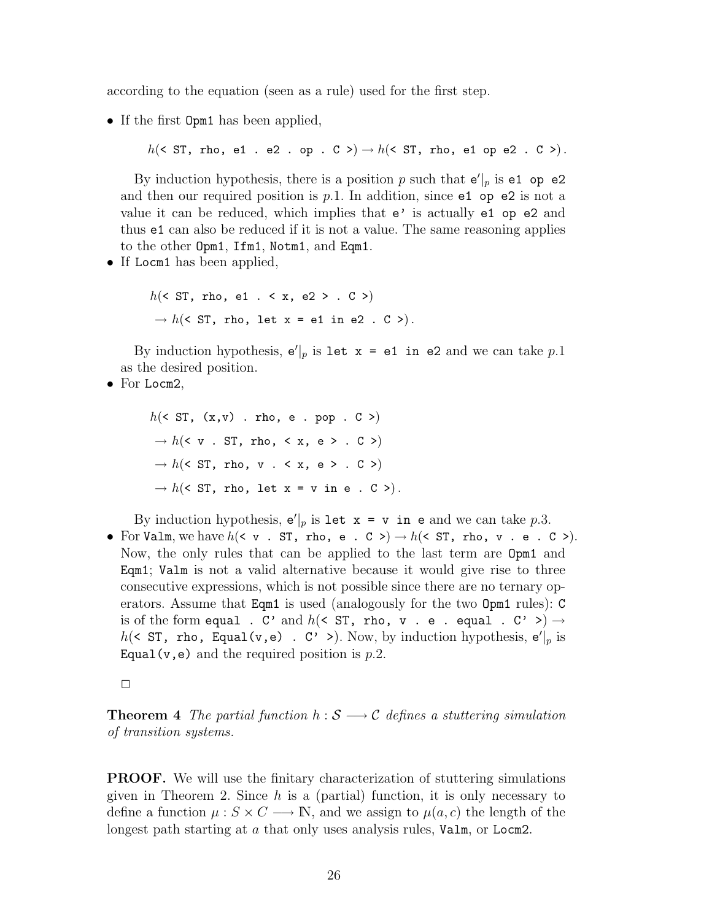according to the equation (seen as a rule) used for the first step.

• If the first  $Opm1$  has been applied,

 $h(\leq ST, \text{rho}, \text{el}, \text{e2} \text{ op} \text{ o} \in C) \rightarrow h(\leq ST, \text{rho}, \text{el} \text{ op} \text{ e2} \text{ o} \in C).$ 

By induction hypothesis, there is a position p such that  $e'|_p$  is  $e1$  op  $e2$ and then our required position is  $p.1$ . In addition, since  $e1$  op  $e2$  is not a value it can be reduced, which implies that  $e'$  is actually  $e1$  op  $e2$  and thus e1 can also be reduced if it is not a value. The same reasoning applies to the other Opm1, Ifm1, Notm1, and Eqm1.

• If Locm1 has been applied,

 $h(\leq ST, \text{rho}, \text{el}, \leq x, \text{el} > . C >)$  $\rightarrow h$  (< ST, rho, let x = e1 in e2 . C >).

By induction hypothesis,  $e'|_p$  is let  $x = e1$  in e2 and we can take p.1 as the desired position.

• For Locm2,

 $h(\leq ST, (x,v)$  . rho, e . pop .  $C >$ )  $\rightarrow h$  (< v . ST, rho, < x, e > . C >)  $\rightarrow h$  (< ST, rho, v . < x, e > . C >)  $\rightarrow h$  (< ST, rho, let x = v in e . C >).

By induction hypothesis,  $e'|_p$  is let  $x = v$  in e and we can take p.3.

• For Valm, we have  $h(\leq v \leq S)$ , rho, e . C >  $\Rightarrow$   $h(\leq S)$ , rho, v . e . C >  $\Rightarrow$ . Now, the only rules that can be applied to the last term are Opm1 and Eqm1; Valm is not a valid alternative because it would give rise to three consecutive expressions, which is not possible since there are no ternary operators. Assume that Eqm1 is used (analogously for the two Opm1 rules): C is of the form equal . C' and  $h(<>ST, rho, v . e . equal . C' >) \rightarrow$  $h(\leq ST, \text{rho}, \text{Equal}(v, e) \text{ . } C' \text{ )}$ . Now, by induction hypothesis,  $e'|_p$  is Equal(v,e) and the required position is  $p.2$ .

 $\Box$ 

**Theorem 4** The partial function  $h : \mathcal{S} \longrightarrow \mathcal{C}$  defines a stuttering simulation of transition systems.

PROOF. We will use the finitary characterization of stuttering simulations given in Theorem 2. Since  $h$  is a (partial) function, it is only necessary to define a function  $\mu : S \times C \longrightarrow \mathbb{N}$ , and we assign to  $\mu(a, c)$  the length of the longest path starting at a that only uses analysis rules, Valm, or Locm2.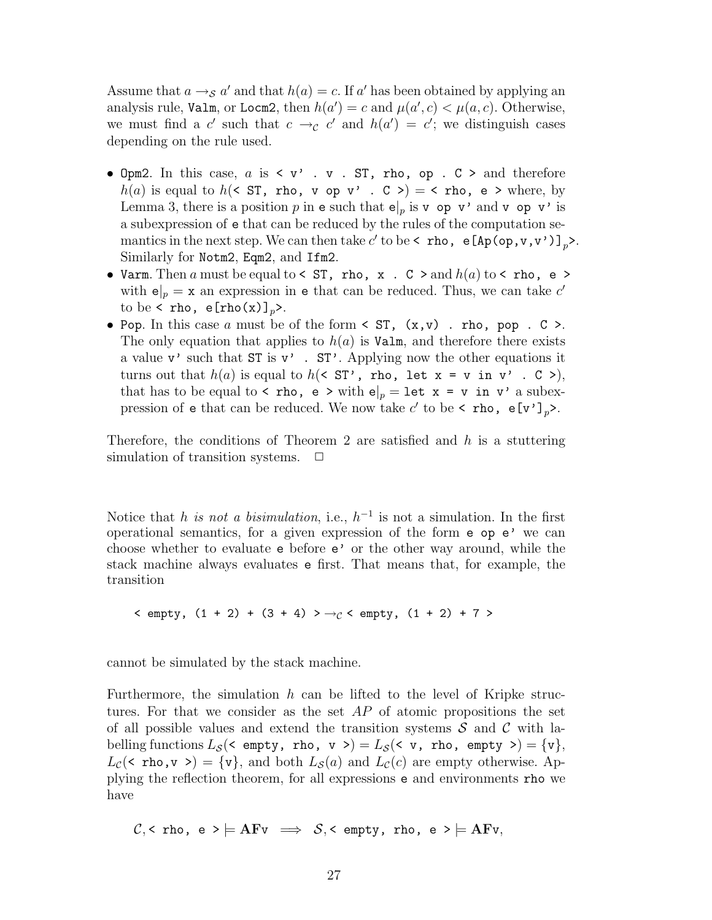Assume that  $a \rightarrow_{\mathcal{S}} a'$  and that  $h(a) = c$ . If a' has been obtained by applying an analysis rule, Valm, or Locm2, then  $h(a') = c$  and  $\mu(a', c) < \mu(a, c)$ . Otherwise, we must find a c' such that  $c \rightarrow_c c'$  and  $h(a') = c'$ ; we distinguish cases depending on the rule used.

- Opm2. In this case,  $a$  is  $\leq v'$ .  $v$ . ST, rho, op. C > and therefore  $h(a)$  is equal to  $h(\leq ST, rho, v, op v', c') = \leq rho, e'$  where, by Lemma 3, there is a position p in e such that  $e|_p$  is v op v' and v op v' is a subexpression of e that can be reduced by the rules of the computation semantics in the next step. We can then take  $c'$  to be  $\lt$  rho,  $e[Ap(op, v, v')]$ <sub>p</sub> $\gt$ . Similarly for Notm2, Eqm2, and Ifm2.
- Varm. Then a must be equal to  $\leq$  ST, rho, x. C  $\geq$  and  $h(a)$  to  $\leq$  rho, e  $\geq$ with  $e|_p = x$  an expression in e that can be reduced. Thus, we can take c' to be < rho,  $e[rho(x)]_p$ .
- Pop. In this case a must be of the form  $\leq ST$ ,  $(x,v)$ . rho, pop.  $C$ . The only equation that applies to  $h(a)$  is Valm, and therefore there exists a value  $v'$  such that  $ST$  is  $v'$ .  $ST'$ . Applying now the other equations it turns out that  $h(a)$  is equal to  $h(\leq ST'$ , rho, let  $x = v$  in  $v'$ .  $C >$ ), that has to be equal to  $\langle$  rho,  $e \rangle$  with  $e|_p = \text{let } x = v \text{ in } v'$  a subexpression of **e** that can be reduced. We now take  $c'$  to be < **rho**,  $e[v']_p$ >.

Therefore, the conditions of Theorem 2 are satisfied and  $h$  is a stuttering simulation of transition systems.  $\Box$ 

Notice that h is not a bisimulation, i.e.,  $h^{-1}$  is not a simulation. In the first operational semantics, for a given expression of the form e op e' we can choose whether to evaluate e before e' or the other way around, while the stack machine always evaluates e first. That means that, for example, the transition

$$
\langle
$$
 empty, (1 + 2) + (3 + 4) >  $\rightarrow$ <sub>C</sub> $\langle$  empty, (1 + 2) + 7 >

cannot be simulated by the stack machine.

Furthermore, the simulation  $h$  can be lifted to the level of Kripke structures. For that we consider as the set  $AP$  of atomic propositions the set of all possible values and extend the transition systems  $S$  and  $C$  with labelling functions  $L_S$  (< empty, rho,  $v > = L_S$  (< v, rho, empty > = {v},  $L_c(\langle \text{rho}, \mathbf{v} \rangle) = \{ \mathbf{v} \},$  and both  $L_s(a)$  and  $L_c(c)$  are empty otherwise. Applying the reflection theorem, for all expressions e and environments rho we have

$$
\mathcal{C}, \leq \text{rho, } e \geq \models AFv \implies \mathcal{S}, \leq \text{empty, rho, } e \geq \models AFv,
$$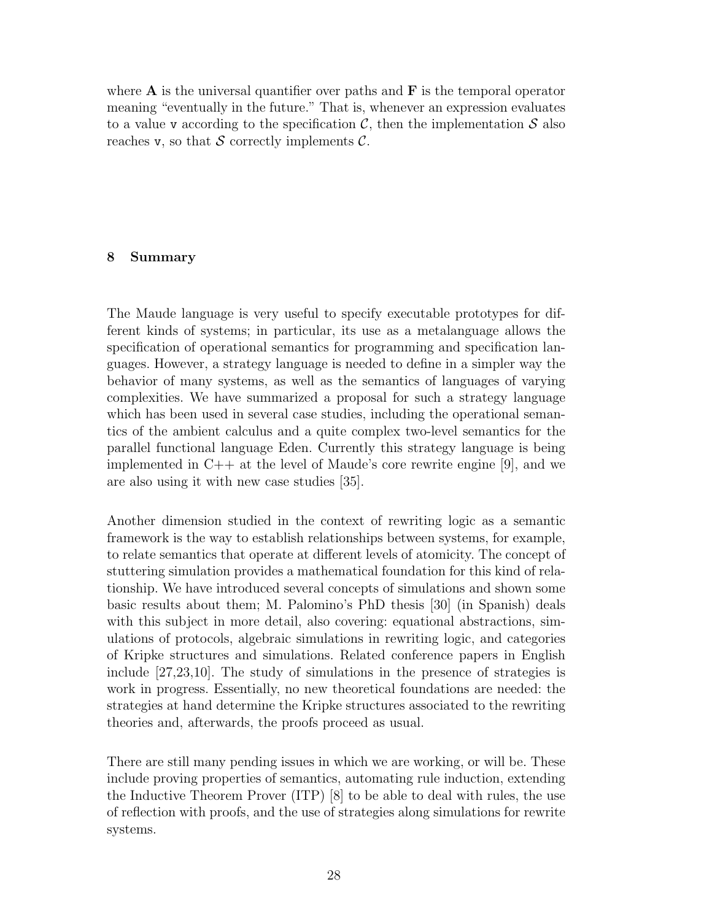where  $\bf{A}$  is the universal quantifier over paths and  $\bf{F}$  is the temporal operator meaning "eventually in the future." That is, whenever an expression evaluates to a value v according to the specification  $\mathcal{C}$ , then the implementation  $\mathcal{S}$  also reaches v, so that S correctly implements  $\mathcal{C}$ .

### 8 Summary

The Maude language is very useful to specify executable prototypes for different kinds of systems; in particular, its use as a metalanguage allows the specification of operational semantics for programming and specification languages. However, a strategy language is needed to define in a simpler way the behavior of many systems, as well as the semantics of languages of varying complexities. We have summarized a proposal for such a strategy language which has been used in several case studies, including the operational semantics of the ambient calculus and a quite complex two-level semantics for the parallel functional language Eden. Currently this strategy language is being implemented in C++ at the level of Maude's core rewrite engine [9], and we are also using it with new case studies [35].

Another dimension studied in the context of rewriting logic as a semantic framework is the way to establish relationships between systems, for example, to relate semantics that operate at different levels of atomicity. The concept of stuttering simulation provides a mathematical foundation for this kind of relationship. We have introduced several concepts of simulations and shown some basic results about them; M. Palomino's PhD thesis [30] (in Spanish) deals with this subject in more detail, also covering: equational abstractions, simulations of protocols, algebraic simulations in rewriting logic, and categories of Kripke structures and simulations. Related conference papers in English include [27,23,10]. The study of simulations in the presence of strategies is work in progress. Essentially, no new theoretical foundations are needed: the strategies at hand determine the Kripke structures associated to the rewriting theories and, afterwards, the proofs proceed as usual.

There are still many pending issues in which we are working, or will be. These include proving properties of semantics, automating rule induction, extending the Inductive Theorem Prover (ITP) [8] to be able to deal with rules, the use of reflection with proofs, and the use of strategies along simulations for rewrite systems.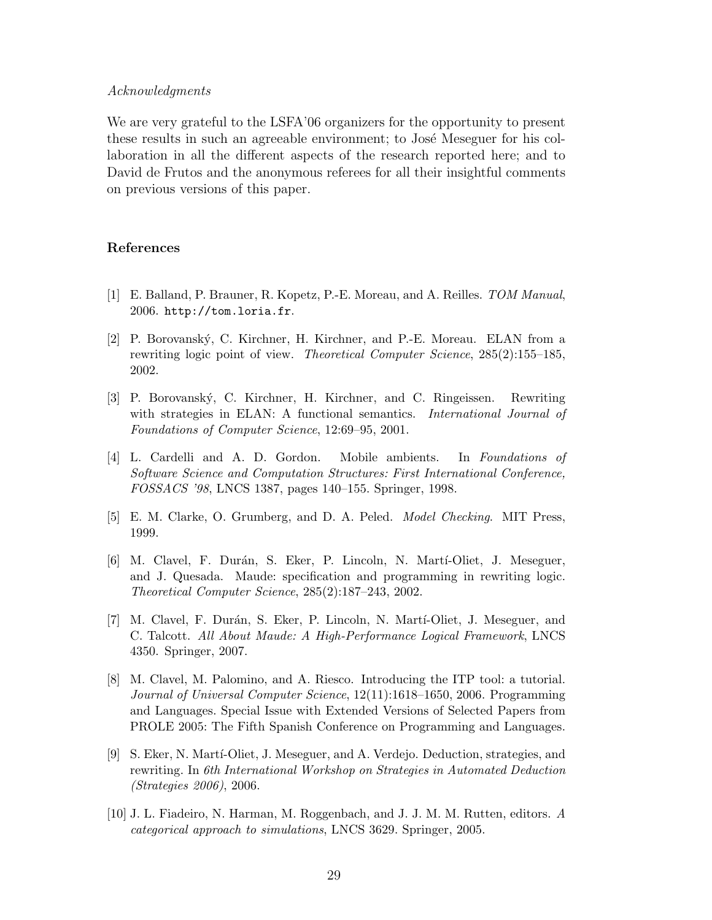#### Acknowledgments

We are very grateful to the LSFA'06 organizers for the opportunity to present these results in such an agreeable environment; to José Meseguer for his collaboration in all the different aspects of the research reported here; and to David de Frutos and the anonymous referees for all their insightful comments on previous versions of this paper.

### References

- [1] E. Balland, P. Brauner, R. Kopetz, P.-E. Moreau, and A. Reilles. TOM Manual, 2006. http://tom.loria.fr.
- [2] P. Borovanský, C. Kirchner, H. Kirchner, and P.-E. Moreau. ELAN from a rewriting logic point of view. Theoretical Computer Science, 285(2):155–185, 2002.
- [3] P. Borovansk´y, C. Kirchner, H. Kirchner, and C. Ringeissen. Rewriting with strategies in ELAN: A functional semantics. *International Journal of* Foundations of Computer Science, 12:69–95, 2001.
- [4] L. Cardelli and A. D. Gordon. Mobile ambients. In Foundations of Software Science and Computation Structures: First International Conference, FOSSACS '98, LNCS 1387, pages 140–155. Springer, 1998.
- [5] E. M. Clarke, O. Grumberg, and D. A. Peled. Model Checking. MIT Press, 1999.
- [6] M. Clavel, F. Dur´an, S. Eker, P. Lincoln, N. Mart´ı-Oliet, J. Meseguer, and J. Quesada. Maude: specification and programming in rewriting logic. Theoretical Computer Science, 285(2):187–243, 2002.
- [7] M. Clavel, F. Durán, S. Eker, P. Lincoln, N. Martí-Oliet, J. Meseguer, and C. Talcott. All About Maude: A High-Performance Logical Framework, LNCS 4350. Springer, 2007.
- [8] M. Clavel, M. Palomino, and A. Riesco. Introducing the ITP tool: a tutorial. Journal of Universal Computer Science, 12(11):1618–1650, 2006. Programming and Languages. Special Issue with Extended Versions of Selected Papers from PROLE 2005: The Fifth Spanish Conference on Programming and Languages.
- [9] S. Eker, N. Martí-Oliet, J. Meseguer, and A. Verdejo. Deduction, strategies, and rewriting. In 6th International Workshop on Strategies in Automated Deduction (Strategies 2006), 2006.
- [10] J. L. Fiadeiro, N. Harman, M. Roggenbach, and J. J. M. M. Rutten, editors. A categorical approach to simulations, LNCS 3629. Springer, 2005.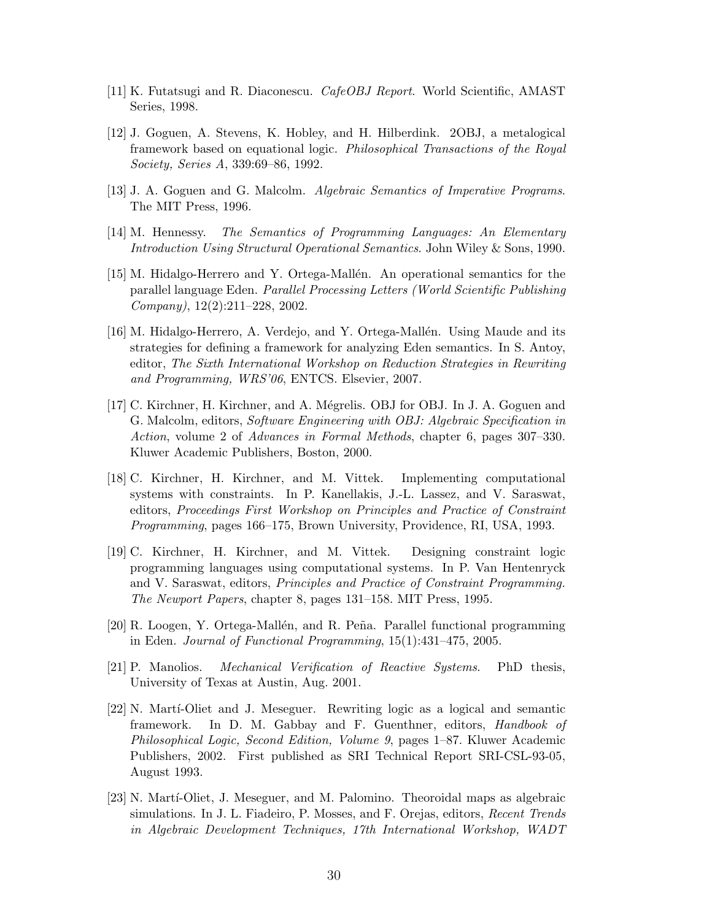- [11] K. Futatsugi and R. Diaconescu. CafeOBJ Report. World Scientific, AMAST Series, 1998.
- [12] J. Goguen, A. Stevens, K. Hobley, and H. Hilberdink. 2OBJ, a metalogical framework based on equational logic. Philosophical Transactions of the Royal Society, Series A, 339:69–86, 1992.
- [13] J. A. Goguen and G. Malcolm. Algebraic Semantics of Imperative Programs. The MIT Press, 1996.
- [14] M. Hennessy. The Semantics of Programming Languages: An Elementary Introduction Using Structural Operational Semantics. John Wiley & Sons, 1990.
- [15] M. Hidalgo-Herrero and Y. Ortega-Mallén. An operational semantics for the parallel language Eden. Parallel Processing Letters (World Scientific Publishing Company), 12(2):211–228, 2002.
- [16] M. Hidalgo-Herrero, A. Verdejo, and Y. Ortega-Mallén. Using Maude and its strategies for defining a framework for analyzing Eden semantics. In S. Antoy, editor, The Sixth International Workshop on Reduction Strategies in Rewriting and Programming, WRS'06, ENTCS. Elsevier, 2007.
- [17] C. Kirchner, H. Kirchner, and A. Mégrelis. OBJ for OBJ. In J. A. Goguen and G. Malcolm, editors, Software Engineering with OBJ: Algebraic Specification in Action, volume 2 of Advances in Formal Methods, chapter 6, pages 307–330. Kluwer Academic Publishers, Boston, 2000.
- [18] C. Kirchner, H. Kirchner, and M. Vittek. Implementing computational systems with constraints. In P. Kanellakis, J.-L. Lassez, and V. Saraswat, editors, Proceedings First Workshop on Principles and Practice of Constraint Programming, pages 166–175, Brown University, Providence, RI, USA, 1993.
- [19] C. Kirchner, H. Kirchner, and M. Vittek. Designing constraint logic programming languages using computational systems. In P. Van Hentenryck and V. Saraswat, editors, Principles and Practice of Constraint Programming. The Newport Papers, chapter 8, pages 131–158. MIT Press, 1995.
- [20] R. Loogen, Y. Ortega-Mallén, and R. Peña. Parallel functional programming in Eden. Journal of Functional Programming, 15(1):431–475, 2005.
- [21] P. Manolios. Mechanical Verification of Reactive Systems. PhD thesis, University of Texas at Austin, Aug. 2001.
- [22] N. Martí-Oliet and J. Meseguer. Rewriting logic as a logical and semantic framework. In D. M. Gabbay and F. Guenthner, editors, Handbook of Philosophical Logic, Second Edition, Volume 9, pages 1–87. Kluwer Academic Publishers, 2002. First published as SRI Technical Report SRI-CSL-93-05, August 1993.
- [23] N. Martí-Oliet, J. Meseguer, and M. Palomino. Theoroidal maps as algebraic simulations. In J. L. Fiadeiro, P. Mosses, and F. Orejas, editors, Recent Trends in Algebraic Development Techniques, 17th International Workshop, WADT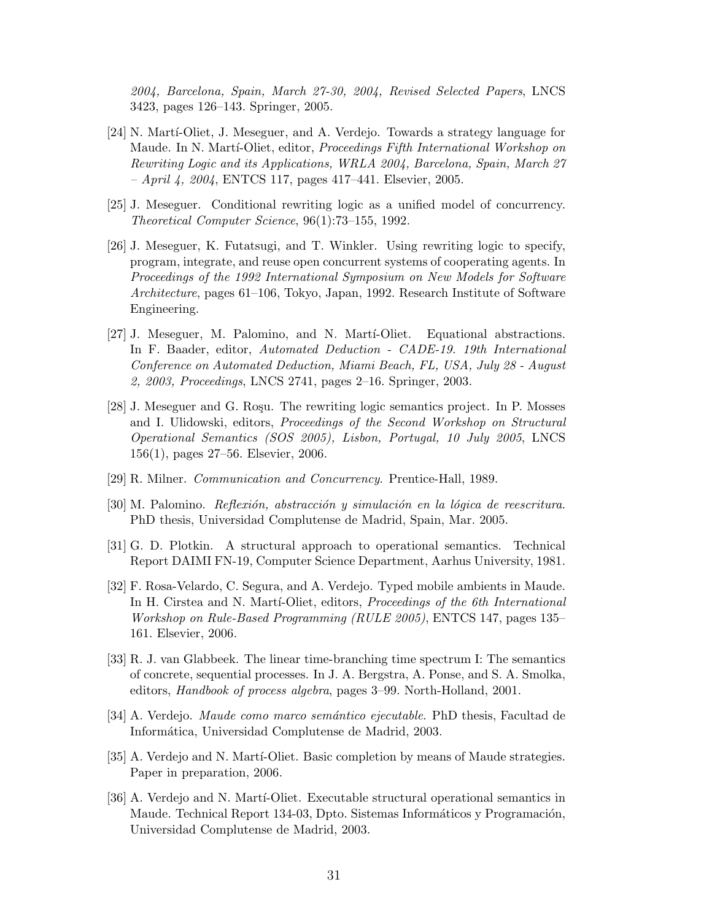2004, Barcelona, Spain, March 27-30, 2004, Revised Selected Papers, LNCS 3423, pages 126–143. Springer, 2005.

- [24] N. Martí-Oliet, J. Meseguer, and A. Verdejo. Towards a strategy language for Maude. In N. Martí-Oliet, editor, Proceedings Fifth International Workshop on Rewriting Logic and its Applications, WRLA 2004, Barcelona, Spain, March 27  $-$  *April 4, 2004*, ENTCS 117, pages 417–441. Elsevier, 2005.
- [25] J. Meseguer. Conditional rewriting logic as a unified model of concurrency. Theoretical Computer Science, 96(1):73–155, 1992.
- [26] J. Meseguer, K. Futatsugi, and T. Winkler. Using rewriting logic to specify, program, integrate, and reuse open concurrent systems of cooperating agents. In Proceedings of the 1992 International Symposium on New Models for Software Architecture, pages 61–106, Tokyo, Japan, 1992. Research Institute of Software Engineering.
- [27] J. Meseguer, M. Palomino, and N. Marti-Oliet. Equational abstractions. In F. Baader, editor, Automated Deduction - CADE-19. 19th International Conference on Automated Deduction, Miami Beach, FL, USA, July 28 - August 2, 2003, Proceedings, LNCS 2741, pages 2–16. Springer, 2003.
- [28] J. Meseguer and G. Roşu. The rewriting logic semantics project. In P. Mosses and I. Ulidowski, editors, Proceedings of the Second Workshop on Structural Operational Semantics (SOS 2005), Lisbon, Portugal, 10 July 2005, LNCS 156(1), pages 27–56. Elsevier, 2006.
- [29] R. Milner. Communication and Concurrency. Prentice-Hall, 1989.
- $[30]$  M. Palomino. Reflexión, abstracción y simulación en la lógica de reescritura. PhD thesis, Universidad Complutense de Madrid, Spain, Mar. 2005.
- [31] G. D. Plotkin. A structural approach to operational semantics. Technical Report DAIMI FN-19, Computer Science Department, Aarhus University, 1981.
- [32] F. Rosa-Velardo, C. Segura, and A. Verdejo. Typed mobile ambients in Maude. In H. Cirstea and N. Marti-Oliet, editors, *Proceedings of the 6th International* Workshop on Rule-Based Programming (RULE 2005), ENTCS 147, pages 135– 161. Elsevier, 2006.
- [33] R. J. van Glabbeek. The linear time-branching time spectrum I: The semantics of concrete, sequential processes. In J. A. Bergstra, A. Ponse, and S. A. Smolka, editors, Handbook of process algebra, pages 3–99. North-Holland, 2001.
- [34] A. Verdejo. *Maude como marco semántico ejecutable*. PhD thesis, Facultad de Inform´atica, Universidad Complutense de Madrid, 2003.
- [35] A. Verdejo and N. Martí-Oliet. Basic completion by means of Maude strategies. Paper in preparation, 2006.
- [36] A. Verdejo and N. Martí-Oliet. Executable structural operational semantics in Maude. Technical Report 134-03, Dpto. Sistemas Informáticos y Programación, Universidad Complutense de Madrid, 2003.